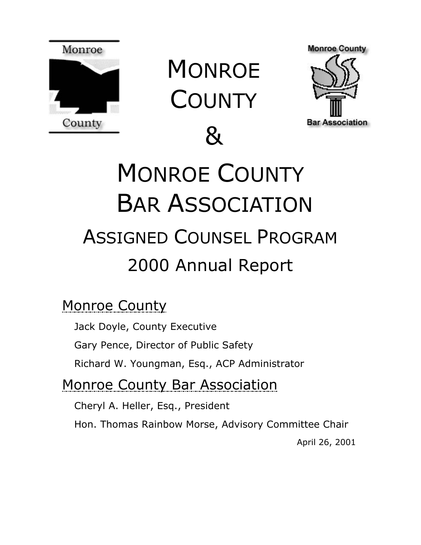

**MONROE COUNTY** 

 $\mathsf{R}_{\mathsf{I}}$ 



# MONROE COUNTY BAR ASSOCIATION ASSIGNED COUNSEL PROGRAM 2000 Annual Report

# Monroe County

Jack Doyle, County Executive

Gary Pence, Director of Public Safety

Richard W. Youngman, Esq., ACP Administrator

Monroe County Bar Association

Cheryl A. Heller, Esq., President

Hon. Thomas Rainbow Morse, Advisory Committee Chair

April 26, 2001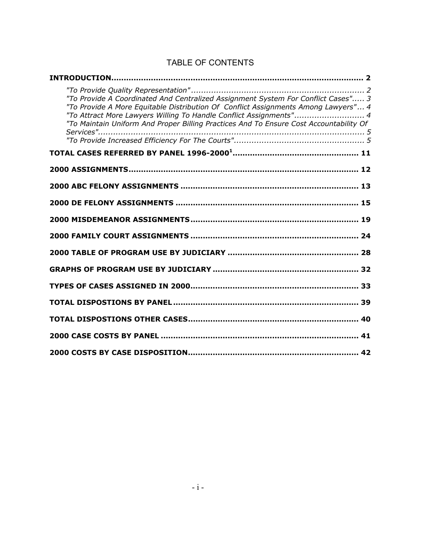| "To Provide A Coordinated And Centralized Assignment System For Conflict Cases" 3<br>"To Provide A More Equitable Distribution Of Conflict Assignments Among Lawyers" 4<br>"To Attract More Lawyers Willing To Handle Conflict Assignments" 4<br>"To Maintain Uniform And Proper Billing Practices And To Ensure Cost Accountability Of |  |
|-----------------------------------------------------------------------------------------------------------------------------------------------------------------------------------------------------------------------------------------------------------------------------------------------------------------------------------------|--|
|                                                                                                                                                                                                                                                                                                                                         |  |
|                                                                                                                                                                                                                                                                                                                                         |  |
|                                                                                                                                                                                                                                                                                                                                         |  |
|                                                                                                                                                                                                                                                                                                                                         |  |
|                                                                                                                                                                                                                                                                                                                                         |  |
|                                                                                                                                                                                                                                                                                                                                         |  |
|                                                                                                                                                                                                                                                                                                                                         |  |
|                                                                                                                                                                                                                                                                                                                                         |  |
|                                                                                                                                                                                                                                                                                                                                         |  |
|                                                                                                                                                                                                                                                                                                                                         |  |
| TOTAL DISPOSTIONS BY PANEL …………………………………………………………………… 39                                                                                                                                                                                                                                                                                |  |
|                                                                                                                                                                                                                                                                                                                                         |  |
|                                                                                                                                                                                                                                                                                                                                         |  |
|                                                                                                                                                                                                                                                                                                                                         |  |

#### TABLE OF CONTENTS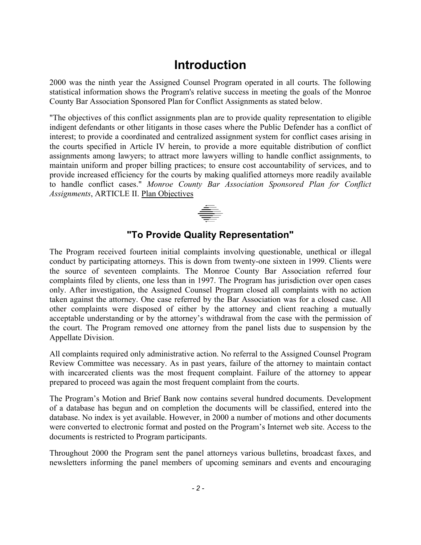### <span id="page-2-0"></span>**Introduction**

2000 was the ninth year the Assigned Counsel Program operated in all courts. The following statistical information shows the Program's relative success in meeting the goals of the Monroe County Bar Association Sponsored Plan for Conflict Assignments as stated below.

"The objectives of this conflict assignments plan are to provide quality representation to eligible indigent defendants or other litigants in those cases where the Public Defender has a conflict of interest; to provide a coordinated and centralized assignment system for conflict cases arising in the courts specified in Article IV herein, to provide a more equitable distribution of conflict assignments among lawyers; to attract more lawyers willing to handle conflict assignments, to maintain uniform and proper billing practices; to ensure cost accountability of services, and to provide increased efficiency for the courts by making qualified attorneys more readily available to handle conflict cases." *Monroe County Bar Association Sponsored Plan for Conflict Assignments*, ARTICLE II. Plan Objectives



#### <span id="page-2-1"></span>**"To Provide Quality Representation"**

The Program received fourteen initial complaints involving questionable, unethical or illegal conduct by participating attorneys. This is down from twenty-one sixteen in 1999. Clients were the source of seventeen complaints. The Monroe County Bar Association referred four complaints filed by clients, one less than in 1997. The Program has jurisdiction over open cases only. After investigation, the Assigned Counsel Program closed all complaints with no action taken against the attorney. One case referred by the Bar Association was for a closed case. All other complaints were disposed of either by the attorney and client reaching a mutually acceptable understanding or by the attorney's withdrawal from the case with the permission of the court. The Program removed one attorney from the panel lists due to suspension by the Appellate Division.

All complaints required only administrative action. No referral to the Assigned Counsel Program Review Committee was necessary. As in past years, failure of the attorney to maintain contact with incarcerated clients was the most frequent complaint. Failure of the attorney to appear prepared to proceed was again the most frequent complaint from the courts.

The Program's Motion and Brief Bank now contains several hundred documents. Development of a database has begun and on completion the documents will be classified, entered into the database. No index is yet available. However, in 2000 a number of motions and other documents were converted to electronic format and posted on the Program's Internet web site. Access to the documents is restricted to Program participants.

Throughout 2000 the Program sent the panel attorneys various bulletins, broadcast faxes, and newsletters informing the panel members of upcoming seminars and events and encouraging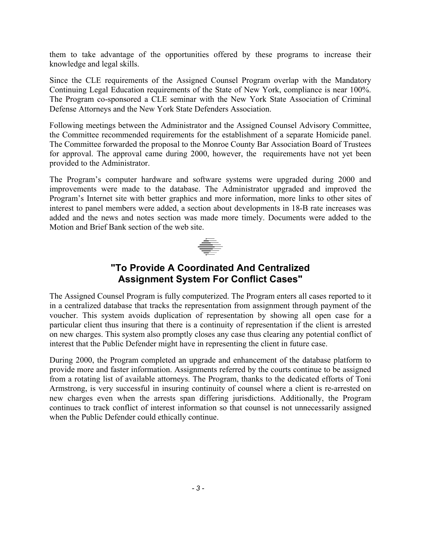them to take advantage of the opportunities offered by these programs to increase their knowledge and legal skills.

Since the CLE requirements of the Assigned Counsel Program overlap with the Mandatory Continuing Legal Education requirements of the State of New York, compliance is near 100%. The Program co-sponsored a CLE seminar with the New York State Association of Criminal Defense Attorneys and the New York State Defenders Association.

Following meetings between the Administrator and the Assigned Counsel Advisory Committee, the Committee recommended requirements for the establishment of a separate Homicide panel. The Committee forwarded the proposal to the Monroe County Bar Association Board of Trustees for approval. The approval came during 2000, however, the requirements have not yet been provided to the Administrator.

The Program's computer hardware and software systems were upgraded during 2000 and improvements were made to the database. The Administrator upgraded and improved the Program's Internet site with better graphics and more information, more links to other sites of interest to panel members were added, a section about developments in 18-B rate increases was added and the news and notes section was made more timely. Documents were added to the Motion and Brief Bank section of the web site.



#### <span id="page-3-0"></span>**"To Provide A Coordinated And Centralized Assignment System For Conflict Cases"**

The Assigned Counsel Program is fully computerized. The Program enters all cases reported to it in a centralized database that tracks the representation from assignment through payment of the voucher. This system avoids duplication of representation by showing all open case for a particular client thus insuring that there is a continuity of representation if the client is arrested on new charges. This system also promptly closes any case thus clearing any potential conflict of interest that the Public Defender might have in representing the client in future case.

During 2000, the Program completed an upgrade and enhancement of the database platform to provide more and faster information. Assignments referred by the courts continue to be assigned from a rotating list of available attorneys. The Program, thanks to the dedicated efforts of Toni Armstrong, is very successful in insuring continuity of counsel where a client is re-arrested on new charges even when the arrests span differing jurisdictions. Additionally, the Program continues to track conflict of interest information so that counsel is not unnecessarily assigned when the Public Defender could ethically continue.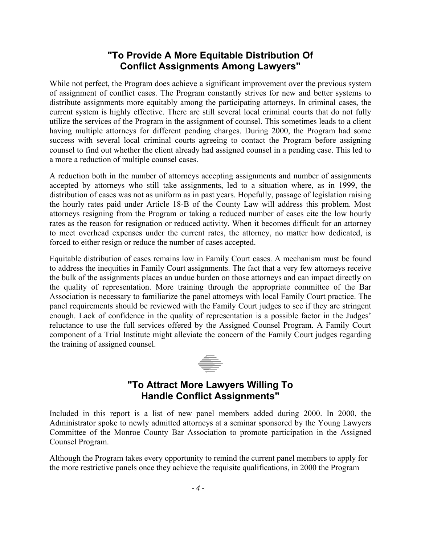#### <span id="page-4-0"></span>**"To Provide A More Equitable Distribution Of Conflict Assignments Among Lawyers"**

While not perfect, the Program does achieve a significant improvement over the previous system of assignment of conflict cases. The Program constantly strives for new and better systems to distribute assignments more equitably among the participating attorneys. In criminal cases, the current system is highly effective. There are still several local criminal courts that do not fully utilize the services of the Program in the assignment of counsel. This sometimes leads to a client having multiple attorneys for different pending charges. During 2000, the Program had some success with several local criminal courts agreeing to contact the Program before assigning counsel to find out whether the client already had assigned counsel in a pending case. This led to a more a reduction of multiple counsel cases.

A reduction both in the number of attorneys accepting assignments and number of assignments accepted by attorneys who still take assignments, led to a situation where, as in 1999, the distribution of cases was not as uniform as in past years. Hopefully, passage of legislation raising the hourly rates paid under Article 18-B of the County Law will address this problem. Most attorneys resigning from the Program or taking a reduced number of cases cite the low hourly rates as the reason for resignation or reduced activity. When it becomes difficult for an attorney to meet overhead expenses under the current rates, the attorney, no matter how dedicated, is forced to either resign or reduce the number of cases accepted.

Equitable distribution of cases remains low in Family Court cases. A mechanism must be found to address the inequities in Family Court assignments. The fact that a very few attorneys receive the bulk of the assignments places an undue burden on those attorneys and can impact directly on the quality of representation. More training through the appropriate committee of the Bar Association is necessary to familiarize the panel attorneys with local Family Court practice. The panel requirements should be reviewed with the Family Court judges to see if they are stringent enough. Lack of confidence in the quality of representation is a possible factor in the Judges' reluctance to use the full services offered by the Assigned Counsel Program. A Family Court component of a Trial Institute might alleviate the concern of the Family Court judges regarding the training of assigned counsel.



#### <span id="page-4-1"></span>**"To Attract More Lawyers Willing To Handle Conflict Assignments"**

Included in this report is a list of new panel members added during 2000. In 2000, the Administrator spoke to newly admitted attorneys at a seminar sponsored by the Young Lawyers Committee of the Monroe County Bar Association to promote participation in the Assigned Counsel Program.

Although the Program takes every opportunity to remind the current panel members to apply for the more restrictive panels once they achieve the requisite qualifications, in 2000 the Program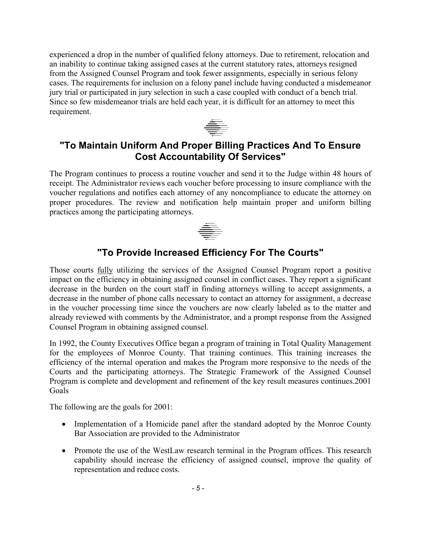experienced a drop in the number of qualified felony attorneys. Due to retirement, relocation and an inability to continue taking assigned cases at the current statutory rates, attorneys resigned from the Assigned Counsel Program and took fewer assignments, especially in serious felony cases. The requirements for inclusion on a felony panel include having conducted a misdemeanor jury trial or participated in jury selection in such a case coupled with conduct of a bench trial. Since so few misdemeanor trials are held each year, it is difficult for an attorney to meet this requirement.



#### <span id="page-5-0"></span>**"To Maintain Uniform And Proper Billing Practices And To Ensure Cost Accountability Of Services"**

The Program continues to process a routine voucher and send it to the Judge within 48 hours of receipt. The Administrator reviews each voucher before processing to insure compliance with the voucher regulations and notifies each attorney of any noncompliance to educate the attorney on proper procedures. The review and notification help maintain proper and uniform billing practices among the participating attorneys.



### <span id="page-5-1"></span>**"To Provide Increased Efficiency For The Courts"**

Those courts fully utilizing the services of the Assigned Counsel Program report a positive impact on the efficiency in obtaining assigned counsel in conflict cases. They report a significant decrease in the burden on the court staff in finding attorneys willing to accept assignments, a decrease in the number of phone calls necessary to contact an attorney for assignment, a decrease in the voucher processing time since the vouchers are now clearly labeled as to the matter and already reviewed with comments by the Administrator, and a prompt response from the Assigned Counsel Program in obtaining assigned counsel.

In 1992, the County Executives Office began a program of training in Total Quality Management for the employees of Monroe County. That training continues. This training increases the efficiency of the internal operation and makes the Program more responsive to the needs of the Courts and the participating attorneys. The Strategic Framework of the Assigned Counsel Program is complete and development and refinement of the key result measures continues.2001 Goals

The following are the goals for 2001:

- Implementation of a Homicide panel after the standard adopted by the Monroe County Bar Association are provided to the Administrator
- Promote the use of the WestLaw research terminal in the Program offices. This research capability should increase the efficiency of assigned counsel, improve the quality of representation and reduce costs.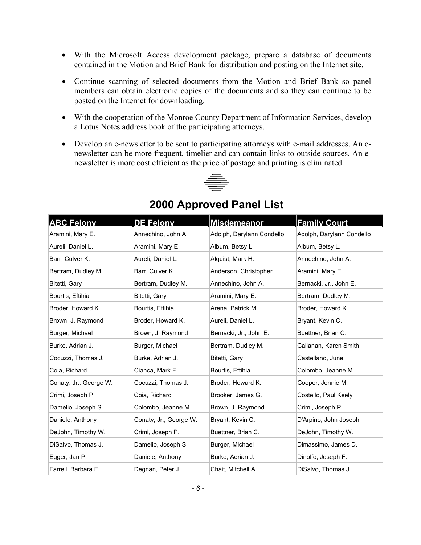- With the Microsoft Access development package, prepare a database of documents contained in the Motion and Brief Bank for distribution and posting on the Internet site.
- Continue scanning of selected documents from the Motion and Brief Bank so panel members can obtain electronic copies of the documents and so they can continue to be posted on the Internet for downloading.
- With the cooperation of the Monroe County Department of Information Services, develop a Lotus Notes address book of the participating attorneys.
- Develop an e-newsletter to be sent to participating attorneys with e-mail addresses. An enewsletter can be more frequent, timelier and can contain links to outside sources. An enewsletter is more cost efficient as the price of postage and printing is eliminated.



| <b>ABC Felony</b>      | <b>DE Felony</b>       | <b>Misdemeanor</b>        | <b>Family Court</b>       |
|------------------------|------------------------|---------------------------|---------------------------|
| Aramini, Mary E.       | Annechino, John A.     | Adolph, Darylann Condello | Adolph, Darylann Condello |
| Aureli, Daniel L.      | Aramini, Mary E.       | Album, Betsy L.           | Album, Betsy L.           |
| Barr, Culver K.        | Aureli, Daniel L.      | Alguist, Mark H.          | Annechino, John A.        |
| Bertram, Dudley M.     | Barr, Culver K.        | Anderson, Christopher     | Aramini, Mary E.          |
| Bitetti, Gary          | Bertram, Dudley M.     | Annechino, John A.        | Bernacki, Jr., John E.    |
| Bourtis, Eftihia       | Bitetti, Gary          | Aramini, Mary E.          | Bertram, Dudley M.        |
| Broder, Howard K.      | Bourtis, Eftihia       | Arena, Patrick M.         | Broder, Howard K.         |
| Brown, J. Raymond      | Broder, Howard K.      | Aureli, Daniel L.         | Bryant, Kevin C.          |
| Burger, Michael        | Brown, J. Raymond      | Bernacki, Jr., John E.    | Buettner, Brian C.        |
| Burke, Adrian J.       | Burger, Michael        | Bertram, Dudley M.        | Callanan, Karen Smith     |
| Cocuzzi, Thomas J.     | Burke, Adrian J.       | Bitetti, Gary             | Castellano, June          |
| Coia, Richard          | Cianca, Mark F.        | Bourtis, Eftihia          | Colombo, Jeanne M.        |
| Conaty, Jr., George W. | Cocuzzi, Thomas J.     | Broder, Howard K.         | Cooper, Jennie M.         |
| Crimi, Joseph P.       | Coia, Richard          | Brooker, James G.         | Costello, Paul Keely      |
| Damelio, Joseph S.     | Colombo, Jeanne M.     | Brown, J. Raymond         | Crimi, Joseph P.          |
| Daniele, Anthony       | Conaty, Jr., George W. | Bryant, Kevin C.          | D'Arpino, John Joseph     |
| DeJohn, Timothy W.     | Crimi, Joseph P.       | Buettner, Brian C.        | DeJohn, Timothy W.        |
| DiSalvo, Thomas J.     | Damelio, Joseph S.     | Burger, Michael           | Dimassimo, James D.       |
| Egger, Jan P.          | Daniele, Anthony       | Burke, Adrian J.          | Dinolfo, Joseph F.        |
| Farrell, Barbara E.    | Degnan, Peter J.       | Chait, Mitchell A.        | DiSalvo, Thomas J.        |

### **2000 Approved Panel List**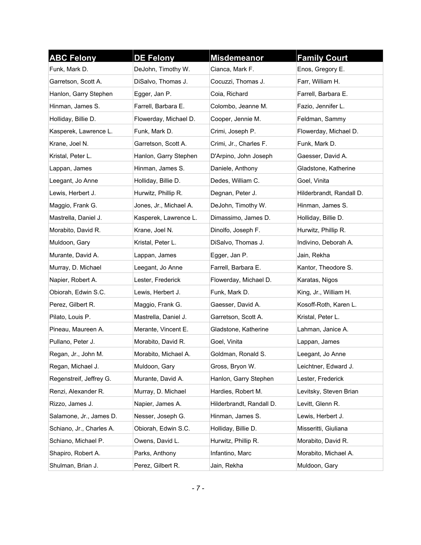| <b>ABC Felony</b>        | <b>DE Felony</b>       | <b>Misdemeanor</b>       | <b>Family Court</b>      |
|--------------------------|------------------------|--------------------------|--------------------------|
| Funk, Mark D.            | DeJohn, Timothy W.     | Cianca, Mark F.          | Enos, Gregory E.         |
| Garretson, Scott A.      | DiSalvo, Thomas J.     | Cocuzzi, Thomas J.       | Farr, William H.         |
| Hanlon, Garry Stephen    | Egger, Jan P.          | Coia, Richard            | Farrell, Barbara E.      |
| Hinman, James S.         | Farrell, Barbara E.    | Colombo, Jeanne M.       | Fazio, Jennifer L.       |
| Holliday, Billie D.      | Flowerday, Michael D.  | Cooper, Jennie M.        | Feldman, Sammy           |
| Kasperek, Lawrence L.    | Funk, Mark D.          | Crimi, Joseph P.         | Flowerday, Michael D.    |
| Krane, Joel N.           | Garretson, Scott A.    | Crimi, Jr., Charles F.   | Funk, Mark D.            |
| Kristal, Peter L.        | Hanlon, Garry Stephen  | D'Arpino, John Joseph    | Gaesser, David A.        |
| Lappan, James            | Hinman, James S.       | Daniele, Anthony         | Gladstone, Katherine     |
| Leegant, Jo Anne         | Holliday, Billie D.    | Dedes, William C.        | Goel, Vinita             |
| Lewis, Herbert J.        | Hurwitz, Phillip R.    | Degnan, Peter J.         | Hilderbrandt, Randall D. |
| Maggio, Frank G.         | Jones, Jr., Michael A. | DeJohn, Timothy W.       | Hinman, James S.         |
| Mastrella, Daniel J.     | Kasperek, Lawrence L.  | Dimassimo, James D.      | Holliday, Billie D.      |
| Morabito, David R.       | Krane, Joel N.         | Dinolfo, Joseph F.       | Hurwitz, Phillip R.      |
| Muldoon, Gary            | Kristal, Peter L.      | DiSalvo, Thomas J.       | Indivino, Deborah A.     |
| Murante, David A.        | Lappan, James          | Egger, Jan P.            | Jain, Rekha              |
| Murray, D. Michael       | Leegant, Jo Anne       | Farrell, Barbara E.      | Kantor, Theodore S.      |
| Napier, Robert A.        | Lester, Frederick      | Flowerday, Michael D.    | Karatas, Nigos           |
| Obiorah, Edwin S.C.      | Lewis, Herbert J.      | Funk, Mark D.            | King, Jr., William H.    |
| Perez, Gilbert R.        | Maggio, Frank G.       | Gaesser, David A.        | Kosoff-Roth, Karen L.    |
| Pilato, Louis P.         | Mastrella, Daniel J.   | Garretson, Scott A.      | Kristal, Peter L.        |
| Pineau, Maureen A.       | Merante, Vincent E.    | Gladstone, Katherine     | Lahman, Janice A.        |
| Pullano, Peter J.        | Morabito, David R.     | Goel, Vinita             | Lappan, James            |
| Regan, Jr., John M.      | Morabito, Michael A.   | Goldman, Ronald S.       | Leegant, Jo Anne         |
| Regan, Michael J.        | Muldoon, Gary          | Gross, Bryon W.          | Leichtner, Edward J.     |
| Regenstreif, Jeffrey G.  | Murante, David A.      | Hanlon, Garry Stephen    | Lester, Frederick        |
| Renzi, Alexander R.      | Murray, D. Michael     | Hardies, Robert M.       | Levitsky, Steven Brian   |
| Rizzo, James J.          | Napier, James A.       | Hilderbrandt, Randall D. | Levitt, Glenn R.         |
| Salamone, Jr., James D.  | Nesser, Joseph G.      | Hinman, James S.         | Lewis, Herbert J.        |
| Schiano, Jr., Charles A. | Obiorah, Edwin S.C.    | Holliday, Billie D.      | Misseritti, Giuliana     |
| Schiano, Michael P.      | Owens, David L.        | Hurwitz, Phillip R.      | Morabito, David R.       |
| Shapiro, Robert A.       | Parks, Anthony         | Infantino, Marc          | Morabito, Michael A.     |
| Shulman, Brian J.        | Perez, Gilbert R.      | Jain, Rekha              | Muldoon, Gary            |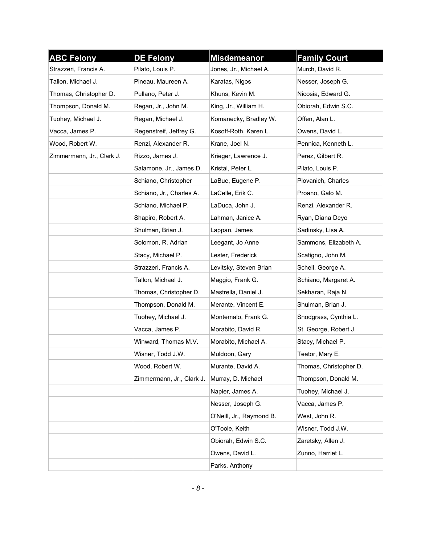| <b>ABC Felony</b>         | <b>DE Felony</b>          | <b>Misdemeanor</b>       | <b>Family Court</b>    |
|---------------------------|---------------------------|--------------------------|------------------------|
| Strazzeri, Francis A.     | Pilato, Louis P.          | Jones, Jr., Michael A.   | Murch, David R.        |
| Tallon, Michael J.        | Pineau, Maureen A.        | Karatas, Nigos           | Nesser, Joseph G.      |
| Thomas, Christopher D.    | Pullano, Peter J.         | Khuns, Kevin M.          | Nicosia, Edward G.     |
| Thompson, Donald M.       | Regan, Jr., John M.       | King, Jr., William H.    | Obiorah, Edwin S.C.    |
| Tuohey, Michael J.        | Regan, Michael J.         | Komanecky, Bradley W.    | Offen, Alan L.         |
| Vacca, James P.           | Regenstreif, Jeffrey G.   | Kosoff-Roth, Karen L.    | Owens, David L.        |
| Wood, Robert W.           | Renzi, Alexander R.       | Krane, Joel N.           | Pennica, Kenneth L.    |
| Zimmermann, Jr., Clark J. | Rizzo, James J.           | Krieger, Lawrence J.     | Perez, Gilbert R.      |
|                           | Salamone, Jr., James D.   | Kristal, Peter L.        | Pilato, Louis P.       |
|                           | Schiano, Christopher      | LaBue, Eugene P.         | Plovanich, Charles     |
|                           | Schiano, Jr., Charles A.  | LaCelle, Erik C.         | Proano, Galo M.        |
|                           | Schiano, Michael P.       | LaDuca, John J.          | Renzi, Alexander R.    |
|                           | Shapiro, Robert A.        | Lahman, Janice A.        | Ryan, Diana Deyo       |
|                           | Shulman, Brian J.         | Lappan, James            | Sadinsky, Lisa A.      |
|                           | Solomon, R. Adrian        | Leegant, Jo Anne         | Sammons, Elizabeth A.  |
|                           | Stacy, Michael P.         | Lester, Frederick        | Scatigno, John M.      |
|                           | Strazzeri, Francis A.     | Levitsky, Steven Brian   | Schell, George A.      |
|                           | Tallon, Michael J.        | Maggio, Frank G.         | Schiano, Margaret A.   |
|                           | Thomas, Christopher D.    | Mastrella, Daniel J.     | Sekharan, Raja N.      |
|                           | Thompson, Donald M.       | Merante, Vincent E.      | Shulman, Brian J.      |
|                           | Tuohey, Michael J.        | Montemalo, Frank G.      | Snodgrass, Cynthia L.  |
|                           | Vacca, James P.           | Morabito, David R.       | St. George, Robert J.  |
|                           | Winward, Thomas M.V.      | Morabito, Michael A.     | Stacy, Michael P.      |
|                           | Wisner, Todd J.W.         | Muldoon, Gary            | Teator, Mary E.        |
|                           | Wood, Robert W.           | Murante, David A.        | Thomas, Christopher D. |
|                           | Zimmermann, Jr., Clark J. | Murray, D. Michael       | Thompson, Donald M.    |
|                           |                           | Napier, James A.         | Tuohey, Michael J.     |
|                           |                           | Nesser, Joseph G.        | Vacca, James P.        |
|                           |                           | O'Neill, Jr., Raymond B. | West, John R.          |
|                           |                           | O'Toole, Keith           | Wisner, Todd J.W.      |
|                           |                           | Obiorah, Edwin S.C.      | Zaretsky, Allen J.     |
|                           |                           | Owens, David L.          | Zunno, Harriet L.      |
|                           |                           | Parks, Anthony           |                        |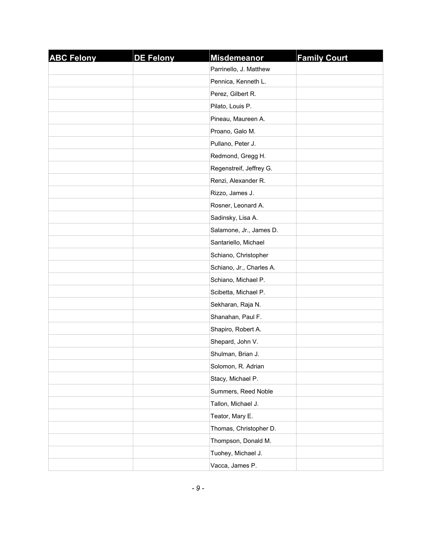| <b>ABC Felony</b> | <b>DE Felony</b> | <b>Misdemeanor</b>       | <b>Family Court</b> |
|-------------------|------------------|--------------------------|---------------------|
|                   |                  | Parrinello, J. Matthew   |                     |
|                   |                  | Pennica, Kenneth L.      |                     |
|                   |                  | Perez, Gilbert R.        |                     |
|                   |                  | Pilato, Louis P.         |                     |
|                   |                  | Pineau, Maureen A.       |                     |
|                   |                  | Proano, Galo M.          |                     |
|                   |                  | Pullano, Peter J.        |                     |
|                   |                  | Redmond, Gregg H.        |                     |
|                   |                  | Regenstreif, Jeffrey G.  |                     |
|                   |                  | Renzi, Alexander R.      |                     |
|                   |                  | Rizzo, James J.          |                     |
|                   |                  | Rosner, Leonard A.       |                     |
|                   |                  | Sadinsky, Lisa A.        |                     |
|                   |                  | Salamone, Jr., James D.  |                     |
|                   |                  | Santariello, Michael     |                     |
|                   |                  | Schiano, Christopher     |                     |
|                   |                  | Schiano, Jr., Charles A. |                     |
|                   |                  | Schiano, Michael P.      |                     |
|                   |                  | Scibetta, Michael P.     |                     |
|                   |                  | Sekharan, Raja N.        |                     |
|                   |                  | Shanahan, Paul F.        |                     |
|                   |                  | Shapiro, Robert A.       |                     |
|                   |                  | Shepard, John V.         |                     |
|                   |                  | Shulman, Brian J.        |                     |
|                   |                  | Solomon, R. Adrian       |                     |
|                   |                  | Stacy, Michael P.        |                     |
|                   |                  | Summers, Reed Noble      |                     |
|                   |                  | Tallon, Michael J.       |                     |
|                   |                  | Teator, Mary E.          |                     |
|                   |                  | Thomas, Christopher D.   |                     |
|                   |                  | Thompson, Donald M.      |                     |
|                   |                  | Tuohey, Michael J.       |                     |
|                   |                  | Vacca, James P.          |                     |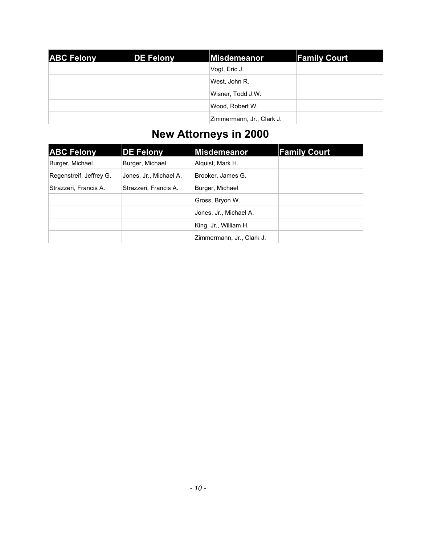| <b>ABC Felony</b> | <b>DE Felony</b> | Misdemeanor               | <b>Family Court</b> |
|-------------------|------------------|---------------------------|---------------------|
|                   |                  | Vogt, Eric J.             |                     |
|                   |                  | West, John R.             |                     |
|                   |                  | Wisner, Todd J.W.         |                     |
|                   |                  | Wood, Robert W.           |                     |
|                   |                  | Zimmermann, Jr., Clark J. |                     |

### **New Attorneys in 2000**

| <b>ABC Felony</b>       | <b>DE Felony</b>       | Misdemeanor               | <b>Family Court</b> |
|-------------------------|------------------------|---------------------------|---------------------|
| Burger, Michael         | Burger, Michael        | Alquist, Mark H.          |                     |
| Regenstreif, Jeffrey G. | Jones, Jr., Michael A. | Brooker, James G.         |                     |
| Strazzeri, Francis A.   | Strazzeri, Francis A.  | Burger, Michael           |                     |
|                         |                        | Gross, Bryon W.           |                     |
|                         |                        | Jones, Jr., Michael A.    |                     |
|                         |                        | King, Jr., William H.     |                     |
|                         |                        | Zimmermann, Jr., Clark J. |                     |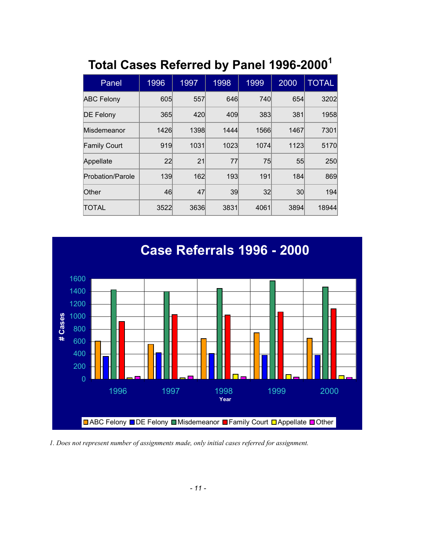### <span id="page-11-0"></span>**Total Cases Referred by Panel 1996-2000<sup>1</sup>**

| Panel               | 1996 | 1997 | 1998 | 1999 | 2000 | <b>TOTAL</b> |
|---------------------|------|------|------|------|------|--------------|
| <b>ABC Felony</b>   | 605  | 557  | 646  | 740  | 654  | 3202         |
| <b>DE Felony</b>    | 365  | 420  | 409  | 383  | 381  | 1958         |
| Misdemeanor         | 1426 | 1398 | 1444 | 1566 | 1467 | 7301         |
| <b>Family Court</b> | 919  | 1031 | 1023 | 1074 | 1123 | 5170         |
| Appellate           | 22   | 21   | 77   | 75   | 55   | 250          |
| Probation/Parole    | 139  | 162  | 193  | 191  | 184  | 869          |
| Other               | 46   | 47   | 39   | 32   | 30   | 194          |
| <b>TOTAL</b>        | 3522 | 3636 | 3831 | 4061 | 3894 | 18944        |



*1. Does not represent number of assignments made, only initial cases referred for assignment.*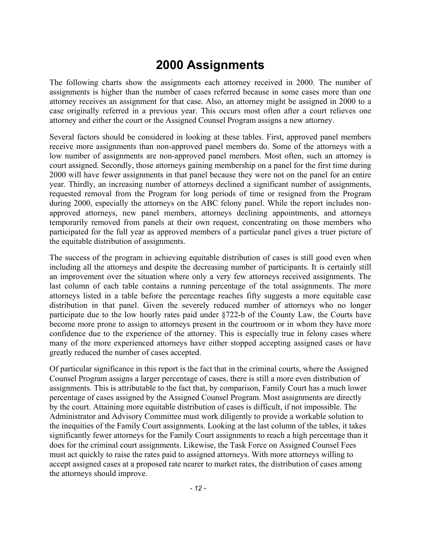### <span id="page-12-0"></span>**2000 Assignments**

The following charts show the assignments each attorney received in 2000. The number of assignments is higher than the number of cases referred because in some cases more than one attorney receives an assignment for that case. Also, an attorney might be assigned in 2000 to a case originally referred in a previous year. This occurs most often after a court relieves one attorney and either the court or the Assigned Counsel Program assigns a new attorney.

Several factors should be considered in looking at these tables. First, approved panel members receive more assignments than non-approved panel members do. Some of the attorneys with a low number of assignments are non-approved panel members. Most often, such an attorney is court assigned. Secondly, those attorneys gaining membership on a panel for the first time during 2000 will have fewer assignments in that panel because they were not on the panel for an entire year. Thirdly, an increasing number of attorneys declined a significant number of assignments, requested removal from the Program for long periods of time or resigned from the Program during 2000, especially the attorneys on the ABC felony panel. While the report includes nonapproved attorneys, new panel members, attorneys declining appointments, and attorneys temporarily removed from panels at their own request, concentrating on those members who participated for the full year as approved members of a particular panel gives a truer picture of the equitable distribution of assignments.

The success of the program in achieving equitable distribution of cases is still good even when including all the attorneys and despite the decreasing number of participants. It is certainly still an improvement over the situation where only a very few attorneys received assignments. The last column of each table contains a running percentage of the total assignments. The more attorneys listed in a table before the percentage reaches fifty suggests a more equitable case distribution in that panel. Given the severely reduced number of attorneys who no longer participate due to the low hourly rates paid under §722-b of the County Law, the Courts have become more prone to assign to attorneys present in the courtroom or in whom they have more confidence due to the experience of the attorney. This is especially true in felony cases where many of the more experienced attorneys have either stopped accepting assigned cases or have greatly reduced the number of cases accepted.

Of particular significance in this report is the fact that in the criminal courts, where the Assigned Counsel Program assigns a larger percentage of cases, there is still a more even distribution of assignments. This is attributable to the fact that, by comparison, Family Court has a much lower percentage of cases assigned by the Assigned Counsel Program. Most assignments are directly by the court. Attaining more equitable distribution of cases is difficult, if not impossible. The Administrator and Advisory Committee must work diligently to provide a workable solution to the inequities of the Family Court assignments. Looking at the last column of the tables, it takes significantly fewer attorneys for the Family Court assignments to reach a high percentage than it does for the criminal court assignments. Likewise, the Task Force on Assigned Counsel Fees must act quickly to raise the rates paid to assigned attorneys. With more attorneys willing to accept assigned cases at a proposed rate nearer to market rates, the distribution of cases among the attorneys should improve.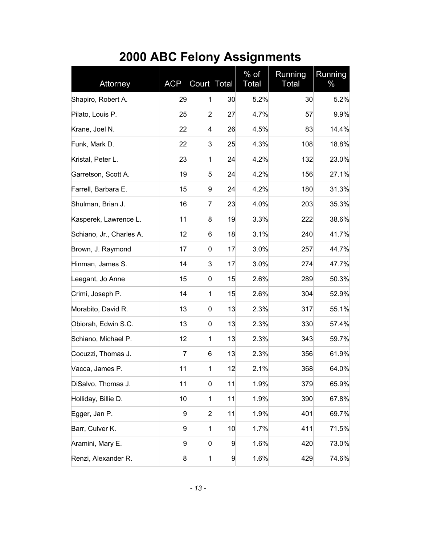# <span id="page-13-0"></span>**2000 ABC Felony Assignments**

| Attorney                 | <b>ACP</b> | Court Total    |    | $%$ of<br><b>Total</b> | Running<br>Total | Running<br>$\%$ |
|--------------------------|------------|----------------|----|------------------------|------------------|-----------------|
| Shapiro, Robert A.       | 29         | 1              | 30 | 5.2%                   | 30               | 5.2%            |
| Pilato, Louis P.         | 25         | 2              | 27 | 4.7%                   | 57               | 9.9%            |
| Krane, Joel N.           | 22         | 4              | 26 | 4.5%                   | 83               | 14.4%           |
| Funk, Mark D.            | 22         | 3              | 25 | 4.3%                   | 108              | 18.8%           |
| Kristal, Peter L.        | 23         | $\mathbf{1}$   | 24 | 4.2%                   | 132              | 23.0%           |
| Garretson, Scott A.      | 19         | 5              | 24 | 4.2%                   | 156              | 27.1%           |
| Farrell, Barbara E.      | 15         | 9              | 24 | 4.2%                   | 180              | 31.3%           |
| Shulman, Brian J.        | 16         | 7              | 23 | 4.0%                   | 203              | 35.3%           |
| Kasperek, Lawrence L.    | 11         | 8              | 19 | 3.3%                   | 222              | 38.6%           |
| Schiano, Jr., Charles A. | 12         | 6              | 18 | 3.1%                   | 240              | 41.7%           |
| Brown, J. Raymond        | 17         | 0              | 17 | 3.0%                   | 257              | 44.7%           |
| Hinman, James S.         | 14         | 3              | 17 | 3.0%                   | 274              | 47.7%           |
| Leegant, Jo Anne         | 15         | 0              | 15 | 2.6%                   | 289              | 50.3%           |
| Crimi, Joseph P.         | 14         | $\mathbf{1}$   | 15 | 2.6%                   | 304              | 52.9%           |
| Morabito, David R.       | 13         | 0              | 13 | 2.3%                   | 317              | 55.1%           |
| Obiorah, Edwin S.C.      | 13         | 0              | 13 | 2.3%                   | 330              | 57.4%           |
| Schiano, Michael P.      | 12         | $\mathbf{1}$   | 13 | 2.3%                   | 343              | 59.7%           |
| Cocuzzi, Thomas J.       | 7          | 6              | 13 | 2.3%                   | 356              | 61.9%           |
| Vacca, James P.          | 11         | $\mathbf{1}$   | 12 | 2.1%                   | 368              | 64.0%           |
| DiSalvo, Thomas J.       | 11         | 0              | 11 | 1.9%                   | 379              | 65.9%           |
| Holliday, Billie D.      | 10         | $\mathbf{1}$   | 11 | 1.9%                   | 390              | 67.8%           |
| Egger, Jan P.            | 9          | $\overline{c}$ | 11 | 1.9%                   | 401              | 69.7%           |
| Barr, Culver K.          | 9          | $\mathbf{1}$   | 10 | 1.7%                   | 411              | 71.5%           |
| Aramini, Mary E.         | 9          | 0              | 9  | 1.6%                   | 420              | 73.0%           |
| Renzi, Alexander R.      | 8          | $\mathbf{1}$   | 9  | 1.6%                   | 429              | 74.6%           |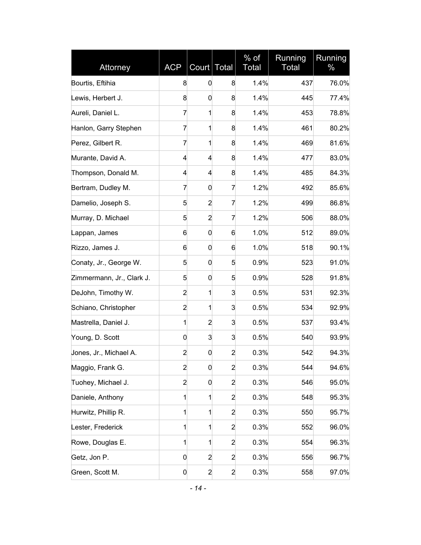| Attorney                  | <b>ACP</b>     | Court Total    |                | $\frac{9}{6}$ of<br>Total | Running<br>Total | Running<br>$\%$ |
|---------------------------|----------------|----------------|----------------|---------------------------|------------------|-----------------|
| Bourtis, Eftihia          | 8              | 0              | 8              | 1.4%                      | 437              | 76.0%           |
| Lewis, Herbert J.         | 8              | 0              | 8              | 1.4%                      | 445              | 77.4%           |
| Aureli, Daniel L.         | 7              | 1              | 8              | 1.4%                      | 453              | 78.8%           |
| Hanlon, Garry Stephen     | 7              | 1              | 8              | 1.4%                      | 461              | 80.2%           |
| Perez, Gilbert R.         | 7              | 1              | 8              | 1.4%                      | 469              | 81.6%           |
| Murante, David A.         | 4              | 4              | 8              | 1.4%                      | 477              | 83.0%           |
| Thompson, Donald M.       | 4              | 4              | 8              | 1.4%                      | 485              | 84.3%           |
| Bertram, Dudley M.        | 7              | 0              | 7              | 1.2%                      | 492              | 85.6%           |
| Damelio, Joseph S.        | 5              | 2              | 7              | 1.2%                      | 499              | 86.8%           |
| Murray, D. Michael        | 5              | $\overline{2}$ | 7              | 1.2%                      | 506              | 88.0%           |
| Lappan, James             | 6              | 0              | 6              | 1.0%                      | 512              | 89.0%           |
| Rizzo, James J.           | 6              | 0              | 6              | 1.0%                      | 518              | 90.1%           |
| Conaty, Jr., George W.    | 5              | 0              | 5              | 0.9%                      | 523              | 91.0%           |
| Zimmermann, Jr., Clark J. | 5              | 0              | 5              | 0.9%                      | 528              | 91.8%           |
| DeJohn, Timothy W.        | $\overline{a}$ | 1              | 3              | 0.5%                      | 531              | 92.3%           |
| Schiano, Christopher      | $\overline{2}$ | 1              | 3              | 0.5%                      | 534              | 92.9%           |
| Mastrella, Daniel J.      | 1              | $\overline{a}$ | 3              | 0.5%                      | 537              | 93.4%           |
| Young, D. Scott           | 0              | 3              | 3              | 0.5%                      | 540              | 93.9%           |
| Jones, Jr., Michael A.    | $\overline{a}$ | 0              | $\overline{2}$ | 0.3%                      | 542              | 94.3%           |
| Maggio, Frank G.          | $\overline{c}$ | 0              | $\overline{2}$ | 0.3%                      | 544              | 94.6%           |
| Tuohey, Michael J.        | $\overline{c}$ | 0              | $\overline{2}$ | 0.3%                      | 546              | 95.0%           |
| Daniele, Anthony          | 1              | 1              | $\overline{2}$ | 0.3%                      | 548              | 95.3%           |
| Hurwitz, Phillip R.       | 1              | $\mathbf{1}$   | $\overline{2}$ | 0.3%                      | 550              | 95.7%           |
| Lester, Frederick         | 1              | $\mathbf{1}$   | $\overline{2}$ | 0.3%                      | 552              | 96.0%           |
| Rowe, Douglas E.          | 1              | $\mathbf{1}$   | $\overline{2}$ | 0.3%                      | 554              | 96.3%           |
| Getz, Jon P.              | 0              | $\overline{c}$ | $\overline{2}$ | 0.3%                      | 556              | 96.7%           |
| Green, Scott M.           | 0              | $\overline{c}$ | $\overline{2}$ | 0.3%                      | 558              | 97.0%           |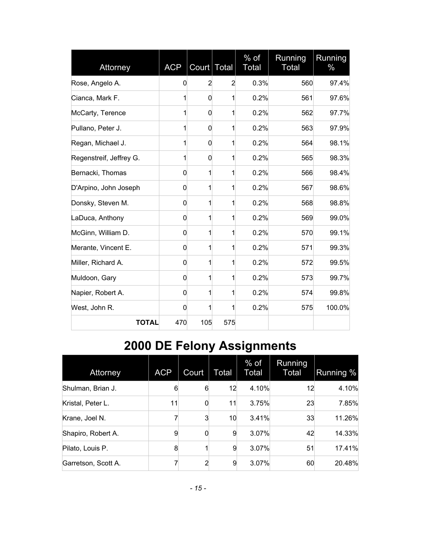| Attorney                | <b>ACP</b> | Court Total    |                | $%$ of<br><b>Total</b> | Running<br><b>Total</b> | Running<br>$\%$ |
|-------------------------|------------|----------------|----------------|------------------------|-------------------------|-----------------|
| Rose, Angelo A.         | 0          | $\overline{2}$ | $\overline{2}$ | 0.3%                   | 560                     | 97.4%           |
| Cianca, Mark F.         | 1          | 0              | 1              | 0.2%                   | 561                     | 97.6%           |
| McCarty, Terence        | 1          | 0              | 1              | 0.2%                   | 562                     | 97.7%           |
| Pullano, Peter J.       | 1          | 0              | 1              | 0.2%                   | 563                     | 97.9%           |
| Regan, Michael J.       | 1          | $\mathbf 0$    | 1              | 0.2%                   | 564                     | 98.1%           |
| Regenstreif, Jeffrey G. | 1          | 0              | $\mathbf{1}$   | 0.2%                   | 565                     | 98.3%           |
| Bernacki, Thomas        | 0          | 1              | 1              | 0.2%                   | 566                     | 98.4%           |
| D'Arpino, John Joseph   | 0          | 1              | 1              | 0.2%                   | 567                     | 98.6%           |
| Donsky, Steven M.       | 0          | 1              | $\mathbf{1}$   | 0.2%                   | 568                     | 98.8%           |
| LaDuca, Anthony         | 0          | 1              | $\mathbf{1}$   | 0.2%                   | 569                     | 99.0%           |
| McGinn, William D.      | 0          | 1              | 1              | 0.2%                   | 570                     | 99.1%           |
| Merante, Vincent E.     | 0          | 1              | $\mathbf{1}$   | 0.2%                   | 571                     | 99.3%           |
| Miller, Richard A.      | 0          | 1              | $\mathbf{1}$   | 0.2%                   | 572                     | 99.5%           |
| Muldoon, Gary           | 0          | 1              | 1              | 0.2%                   | 573                     | 99.7%           |
| Napier, Robert A.       | 0          | 1              | 1              | 0.2%                   | 574                     | 99.8%           |
| West, John R.           | 0          | 1              | 1              | 0.2%                   | 575                     | 100.0%          |
| <b>TOTAL</b>            | 470        | 105            | 575            |                        |                         |                 |

# <span id="page-15-0"></span>**2000 DE Felony Assignments**

| Attorney            | <b>ACP</b> | Court | Total | $%$ of<br>Total | Running<br>Total | Running % |
|---------------------|------------|-------|-------|-----------------|------------------|-----------|
| Shulman, Brian J.   | 6          | 6     | 12    | 4.10%           | 12               | 4.10%     |
| Kristal, Peter L.   | 11         | 0     | 11    | 3.75%           | 23               | 7.85%     |
| Krane, Joel N.      | 7          | 3     | 10    | 3.41%           | 33               | 11.26%    |
| Shapiro, Robert A.  | 9          |       | 9     | 3.07%           | 42               | 14.33%    |
| Pilato, Louis P.    | 8          |       | 9     | 3.07%           | 51               | 17.41%    |
| Garretson, Scott A. | 7          | 2     | 9     | 3.07%           | 60               | 20.48%    |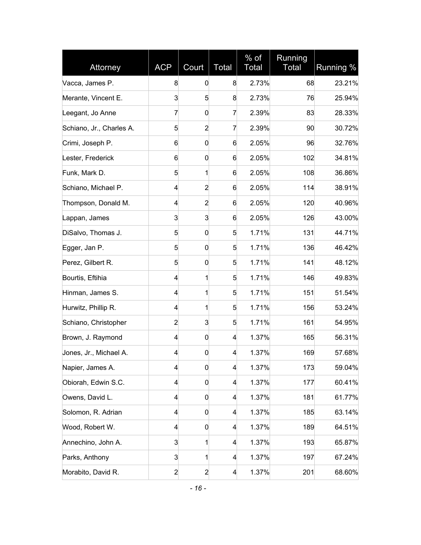| Attorney                 | <b>ACP</b>              | Court          | <b>Total</b>            | $%$ of<br>Total | Running<br><b>Total</b> | Running % |
|--------------------------|-------------------------|----------------|-------------------------|-----------------|-------------------------|-----------|
| Vacca, James P.          | 8                       | 0              | 8                       | 2.73%           | 68                      | 23.21%    |
| Merante, Vincent E.      | 3                       | 5              | 8                       | 2.73%           | 76                      | 25.94%    |
| Leegant, Jo Anne         | 7                       | 0              | 7                       | 2.39%           | 83                      | 28.33%    |
| Schiano, Jr., Charles A. | 5                       | $\overline{2}$ | 7                       | 2.39%           | 90                      | 30.72%    |
| Crimi, Joseph P.         | 6                       | $\mathbf 0$    | 6                       | 2.05%           | 96                      | 32.76%    |
| Lester, Frederick        | 6                       | 0              | 6                       | 2.05%           | 102                     | 34.81%    |
| Funk, Mark D.            | 5                       | 1              | 6                       | 2.05%           | 108                     | 36.86%    |
| Schiano, Michael P.      | 4                       | $\overline{2}$ | 6                       | 2.05%           | 114                     | 38.91%    |
| Thompson, Donald M.      | 4                       | $\overline{2}$ | 6                       | 2.05%           | 120                     | 40.96%    |
| Lappan, James            | 3                       | 3              | 6                       | 2.05%           | 126                     | 43.00%    |
| DiSalvo, Thomas J.       | 5                       | 0              | 5                       | 1.71%           | 131                     | 44.71%    |
| Egger, Jan P.            | 5                       | 0              | 5                       | 1.71%           | 136                     | 46.42%    |
| Perez, Gilbert R.        | 5                       | 0              | 5                       | 1.71%           | 141                     | 48.12%    |
| Bourtis, Eftihia         | 4                       | 1              | 5                       | 1.71%           | 146                     | 49.83%    |
| Hinman, James S.         | 4                       | 1              | 5                       | 1.71%           | 151                     | 51.54%    |
| Hurwitz, Phillip R.      | 4                       | 1              | 5                       | 1.71%           | 156                     | 53.24%    |
| Schiano, Christopher     | $\overline{2}$          | 3              | 5                       | 1.71%           | 161                     | 54.95%    |
| Brown, J. Raymond        | 4                       | 0              | 4                       | 1.37%           | 165                     | 56.31%    |
| Jones, Jr., Michael A.   | 4                       | $\mathbf 0$    | 4                       | 1.37%           | 169                     | 57.68%    |
| Napier, James A.         | $\overline{\mathbf{r}}$ | 0              | 4                       | 1.37%           | 173                     | 59.04%    |
| Obiorah, Edwin S.C.      | 4                       | 0              | 4                       | 1.37%           | 177                     | 60.41%    |
| Owens, David L.          | 4                       | 0              | 4                       | 1.37%           | 181                     | 61.77%    |
| Solomon, R. Adrian       | $\overline{\mathbf{r}}$ | $\mathbf 0$    | $\overline{\mathbf{4}}$ | 1.37%           | 185                     | 63.14%    |
| Wood, Robert W.          | 4                       | 0              | 4                       | 1.37%           | 189                     | 64.51%    |
| Annechino, John A.       | 3                       | 1              | 4                       | 1.37%           | 193                     | 65.87%    |
| Parks, Anthony           | 3                       | 1              | 4                       | 1.37%           | 197                     | 67.24%    |
| Morabito, David R.       | $\overline{2}$          | $\overline{a}$ | $\overline{\mathbf{r}}$ | 1.37%           | 201                     | 68.60%    |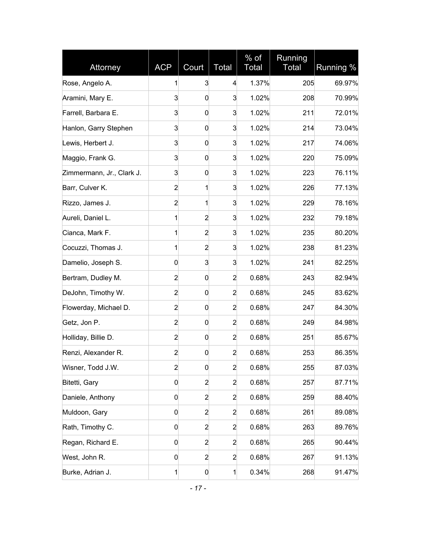| Attorney                  | <b>ACP</b>     | Court            | Total          | % of<br>Total | Running<br><b>Total</b> | Running % |
|---------------------------|----------------|------------------|----------------|---------------|-------------------------|-----------|
| Rose, Angelo A.           | 1              | 3                | $\overline{4}$ | 1.37%         | 205                     | 69.97%    |
| Aramini, Mary E.          | 3              | 0                | 3              | 1.02%         | 208                     | 70.99%    |
| Farrell, Barbara E.       | 3              | 0                | 3              | 1.02%         | 211                     | 72.01%    |
| Hanlon, Garry Stephen     | 3              | 0                | 3              | 1.02%         | 214                     | 73.04%    |
| Lewis, Herbert J.         | 3              | 0                | 3              | 1.02%         | 217                     | 74.06%    |
| Maggio, Frank G.          | 3              | 0                | 3              | 1.02%         | 220                     | 75.09%    |
| Zimmermann, Jr., Clark J. | 3              | 0                | 3              | 1.02%         | 223                     | 76.11%    |
| Barr, Culver K.           | $\overline{2}$ | 1                | 3              | 1.02%         | 226                     | 77.13%    |
| Rizzo, James J.           | $\overline{c}$ | 1                | 3              | 1.02%         | 229                     | 78.16%    |
| Aureli, Daniel L.         | 1              | $\overline{2}$   | 3              | 1.02%         | 232                     | 79.18%    |
| Cianca, Mark F.           | 1              | $\overline{2}$   | 3              | 1.02%         | 235                     | 80.20%    |
| Cocuzzi, Thomas J.        | 1              | $\overline{2}$   | 3              | 1.02%         | 238                     | 81.23%    |
| Damelio, Joseph S.        | 0              | 3                | 3              | 1.02%         | 241                     | 82.25%    |
| Bertram, Dudley M.        | $\overline{2}$ | 0                | $\overline{2}$ | 0.68%         | 243                     | 82.94%    |
| DeJohn, Timothy W.        | $\overline{2}$ | $\mathbf 0$      | $\overline{2}$ | 0.68%         | 245                     | 83.62%    |
| Flowerday, Michael D.     | $\overline{2}$ | 0                | $\overline{2}$ | 0.68%         | 247                     | 84.30%    |
| Getz, Jon P.              | $\overline{2}$ | $\boldsymbol{0}$ | 2              | 0.68%         | 249                     | 84.98%    |
| Holliday, Billie D.       | $\overline{2}$ | $\mathbf 0$      | $\overline{2}$ | 0.68%         | 251                     | 85.67%    |
| Renzi, Alexander R.       | $\overline{c}$ | 0                | $\overline{2}$ | 0.68%         | 253                     | 86.35%    |
| Wisner, Todd J.W.         | $\overline{2}$ | $\mathbf 0$      | $\overline{a}$ | 0.68%         | 255                     | 87.03%    |
| Bitetti, Gary             | 0              | $\overline{c}$   | $\overline{a}$ | 0.68%         | 257                     | 87.71%    |
| Daniele, Anthony          | 0              | $\overline{c}$   | $\overline{2}$ | 0.68%         | 259                     | 88.40%    |
| Muldoon, Gary             | 0              | $\overline{c}$   | $\overline{2}$ | 0.68%         | 261                     | 89.08%    |
| Rath, Timothy C.          | 0              | $\overline{c}$   | $\overline{2}$ | 0.68%         | 263                     | 89.76%    |
| Regan, Richard E.         | 0              | $\overline{2}$   | $\overline{2}$ | 0.68%         | 265                     | 90.44%    |
| West, John R.             | 0              | $\overline{c}$   | $\overline{2}$ | 0.68%         | 267                     | 91.13%    |
| Burke, Adrian J.          | 1              | $\boldsymbol{0}$ | 1              | 0.34%         | 268                     | 91.47%    |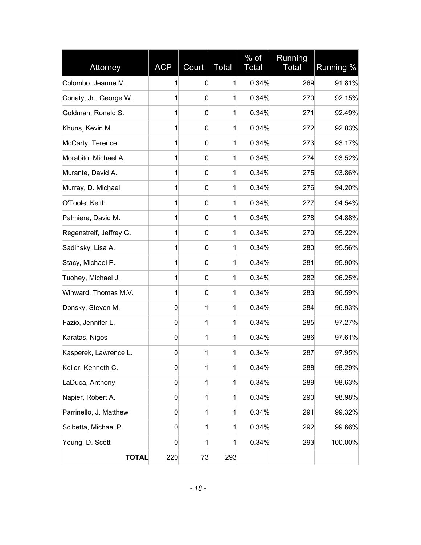| Attorney                | <b>ACP</b>  | Court       | <b>Total</b> | $%$ of<br>Total | Running<br><b>Total</b> | Running % |
|-------------------------|-------------|-------------|--------------|-----------------|-------------------------|-----------|
| Colombo, Jeanne M.      | 1           | 0           | 1            | 0.34%           | 269                     | 91.81%    |
| Conaty, Jr., George W.  | 1           | 0           | 1            | 0.34%           | 270                     | 92.15%    |
| Goldman, Ronald S.      | 1           | 0           | 1            | 0.34%           | 271                     | 92.49%    |
| Khuns, Kevin M.         | 1           | 0           | 1            | 0.34%           | 272                     | 92.83%    |
| McCarty, Terence        | 1           | $\mathbf 0$ | 1            | 0.34%           | 273                     | 93.17%    |
| Morabito, Michael A.    | 1           | 0           | 1            | 0.34%           | 274                     | 93.52%    |
| Murante, David A.       | 1           | 0           | 1            | 0.34%           | 275                     | 93.86%    |
| Murray, D. Michael      | 1           | 0           | 1            | 0.34%           | 276                     | 94.20%    |
| O'Toole, Keith          | 1           | 0           | 1            | 0.34%           | 277                     | 94.54%    |
| Palmiere, David M.      | 1           | $\mathbf 0$ | 1            | 0.34%           | 278                     | 94.88%    |
| Regenstreif, Jeffrey G. | 1           | 0           | 1            | 0.34%           | 279                     | 95.22%    |
| Sadinsky, Lisa A.       | 1           | 0           | 1            | 0.34%           | 280                     | 95.56%    |
| Stacy, Michael P.       | 1           | $\mathbf 0$ | 1            | 0.34%           | 281                     | 95.90%    |
| Tuohey, Michael J.      | 1           | 0           | 1            | 0.34%           | 282                     | 96.25%    |
| Winward, Thomas M.V.    | 1           | 0           | 1            | 0.34%           | 283                     | 96.59%    |
| Donsky, Steven M.       | 0           | 1           | 1            | 0.34%           | 284                     | 96.93%    |
| Fazio, Jennifer L.      | 0           | 1           | 1            | 0.34%           | 285                     | 97.27%    |
| Karatas, Nigos          | $\mathbf 0$ | 1           | 1            | 0.34%           | 286                     | 97.61%    |
| Kasperek, Lawrence L.   | 0           | 1           | 1            | 0.34%           | 287                     | 97.95%    |
| Keller, Kenneth C.      | 0           | 1           | $\mathbf{1}$ | 0.34%           | 288                     | 98.29%    |
| LaDuca, Anthony         | 0           | 1           | 1            | 0.34%           | 289                     | 98.63%    |
| Napier, Robert A.       | 0           | 1           | 1            | 0.34%           | 290                     | 98.98%    |
| Parrinello, J. Matthew  | 0           | 1           | 1            | 0.34%           | 291                     | 99.32%    |
| Scibetta, Michael P.    | 0           | 1           | 1            | 0.34%           | 292                     | 99.66%    |
| Young, D. Scott         | 0           | 1           | 1            | 0.34%           | 293                     | 100.00%   |
| <b>TOTAL</b>            | 220         | 73          | 293          |                 |                         |           |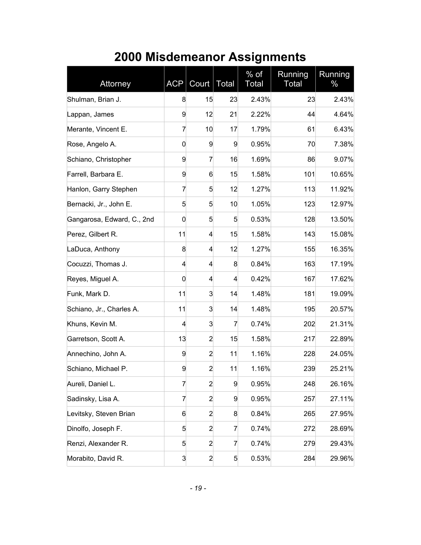| Attorney                   | <b>ACP</b>               | Court          | <b>Total</b> | $%$ of<br>Total | Running<br>Total | Running<br>℅ |
|----------------------------|--------------------------|----------------|--------------|-----------------|------------------|--------------|
| Shulman, Brian J.          | 8                        | 15             | 23           | 2.43%           | 23               | 2.43%        |
| Lappan, James              | 9                        | 12             | 21           | 2.22%           | 44               | 4.64%        |
| Merante, Vincent E.        | 7                        | 10             | 17           | 1.79%           | 61               | 6.43%        |
| Rose, Angelo A.            | $\mathbf 0$              | 9              | 9            | 0.95%           | 70               | 7.38%        |
| Schiano, Christopher       | 9                        | 7              | 16           | 1.69%           | 86               | 9.07%        |
| Farrell, Barbara E.        | 9                        | 6              | 15           | 1.58%           | 101              | 10.65%       |
| Hanlon, Garry Stephen      | $\overline{7}$           | 5              | 12           | 1.27%           | 113              | 11.92%       |
| Bernacki, Jr., John E.     | 5                        | 5              | 10           | 1.05%           | 123              | 12.97%       |
| Gangarosa, Edward, C., 2nd | 0                        | 5              | 5            | 0.53%           | 128              | 13.50%       |
| Perez, Gilbert R.          | 11                       | 4              | 15           | 1.58%           | 143              | 15.08%       |
| LaDuca, Anthony            | 8                        | 4              | 12           | 1.27%           | 155              | 16.35%       |
| Cocuzzi, Thomas J.         | $\overline{\mathcal{L}}$ | 4              | 8            | 0.84%           | 163              | 17.19%       |
| Reyes, Miguel A.           | 0                        | $\overline{4}$ | 4            | 0.42%           | 167              | 17.62%       |
| Funk, Mark D.              | 11                       | 3              | 14           | 1.48%           | 181              | 19.09%       |
| Schiano, Jr., Charles A.   | 11                       | 3              | 14           | 1.48%           | 195              | 20.57%       |
| Khuns, Kevin M.            | 4                        | 3              | 7            | 0.74%           | 202              | 21.31%       |
| Garretson, Scott A.        | 13                       | $\overline{2}$ | 15           | 1.58%           | 217              | 22.89%       |
| Annechino, John A.         | 9                        | $\overline{2}$ | 11           | 1.16%           | 228              | 24.05%       |
| Schiano, Michael P.        | 9                        | $\overline{2}$ | 11           | 1.16%           | 239              | 25.21%       |
| Aureli, Daniel L.          | $\overline{7}$           | $\overline{2}$ | 9            | 0.95%           | 248              | 26.16%       |
| Sadinsky, Lisa A.          | 7                        | $\overline{2}$ | 9            | 0.95%           | 257              | 27.11%       |
| Levitsky, Steven Brian     | 6                        | $\overline{2}$ | 8            | 0.84%           | 265              | 27.95%       |
| Dinolfo, Joseph F.         | 5                        | $\overline{2}$ | 7            | 0.74%           | 272              | 28.69%       |
| Renzi, Alexander R.        | 5                        | $\overline{2}$ | 7            | 0.74%           | 279              | 29.43%       |
| Morabito, David R.         | 3                        | $\overline{2}$ | 5            | 0.53%           | 284              | 29.96%       |

### <span id="page-19-0"></span>**2000 Misdemeanor Assignments**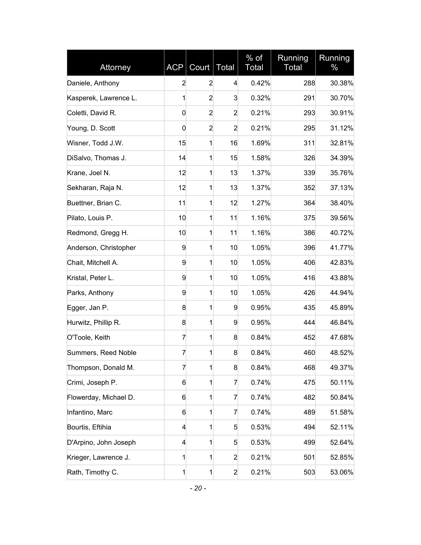| Attorney              | <b>ACP</b>              | Court          | Total          | $%$ of<br><b>Total</b> | Running<br>Total | Running<br>% |
|-----------------------|-------------------------|----------------|----------------|------------------------|------------------|--------------|
| Daniele, Anthony      | $\overline{2}$          | $\overline{2}$ | 4              | 0.42%                  | 288              | 30.38%       |
| Kasperek, Lawrence L. | 1                       | $\overline{2}$ | 3              | 0.32%                  | 291              | 30.70%       |
| Coletti, David R.     | 0                       | $\overline{2}$ | 2              | 0.21%                  | 293              | 30.91%       |
| Young, D. Scott       | 0                       | $\overline{2}$ | $\overline{2}$ | 0.21%                  | 295              | 31.12%       |
| Wisner, Todd J.W.     | 15                      | 1              | 16             | 1.69%                  | 311              | 32.81%       |
| DiSalvo, Thomas J.    | 14                      | 1              | 15             | 1.58%                  | 326              | 34.39%       |
| Krane, Joel N.        | 12                      | 1              | 13             | 1.37%                  | 339              | 35.76%       |
| Sekharan, Raja N.     | 12                      | 1              | 13             | 1.37%                  | 352              | 37.13%       |
| Buettner, Brian C.    | 11                      | 1              | 12             | 1.27%                  | 364              | 38.40%       |
| Pilato, Louis P.      | 10                      | 1              | 11             | 1.16%                  | 375              | 39.56%       |
| Redmond, Gregg H.     | 10                      | 1              | 11             | 1.16%                  | 386              | 40.72%       |
| Anderson, Christopher | 9                       | 1              | 10             | 1.05%                  | 396              | 41.77%       |
| Chait, Mitchell A.    | 9                       | 1              | 10             | 1.05%                  | 406              | 42.83%       |
| Kristal, Peter L.     | 9                       | 1              | 10             | 1.05%                  | 416              | 43.88%       |
| Parks, Anthony        | 9                       | 1              | 10             | 1.05%                  | 426              | 44.94%       |
| Egger, Jan P.         | 8                       | 1              | 9              | 0.95%                  | 435              | 45.89%       |
| Hurwitz, Phillip R.   | 8                       | 1              | 9              | 0.95%                  | 444              | 46.84%       |
| O'Toole, Keith        | $\overline{7}$          | 1              | 8              | 0.84%                  | 452              | 47.68%       |
| Summers, Reed Noble   | 7                       | 1              | 8              | 0.84%                  | 460              | 48.52%       |
| Thompson, Donald M.   | $\overline{7}$          | 1              | 8              | 0.84%                  | 468              | 49.37%       |
| Crimi, Joseph P.      | 6                       | 1              | 7              | 0.74%                  | 475              | 50.11%       |
| Flowerday, Michael D. | 6                       | 1              | 7              | 0.74%                  | 482              | 50.84%       |
| Infantino, Marc       | 6                       | 1              | 7              | 0.74%                  | 489              | 51.58%       |
| Bourtis, Eftihia      | $\overline{\mathbf{4}}$ | 1              | 5              | 0.53%                  | 494              | 52.11%       |
| D'Arpino, John Joseph | 4                       | 1              | 5              | 0.53%                  | 499              | 52.64%       |
| Krieger, Lawrence J.  | 1                       | 1              | $\overline{2}$ | 0.21%                  | 501              | 52.85%       |
| Rath, Timothy C.      | 1                       | 1              | $\overline{2}$ | 0.21%                  | 503              | 53.06%       |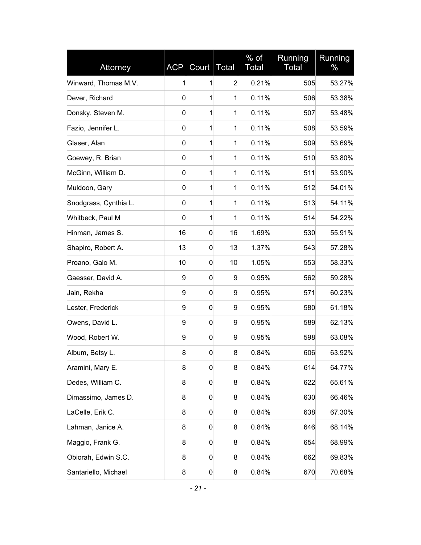| Attorney              | <b>ACP</b>  | Court            | <b>Total</b>   | $%$ of<br>Total | Running<br>Total | Running<br>% |
|-----------------------|-------------|------------------|----------------|-----------------|------------------|--------------|
| Winward, Thomas M.V.  | 1           | 1                | $\overline{2}$ | 0.21%           | 505              | 53.27%       |
| Dever, Richard        | 0           | 1                | 1              | 0.11%           | 506              | 53.38%       |
| Donsky, Steven M.     | 0           | 1                | 1              | 0.11%           | 507              | 53.48%       |
| Fazio, Jennifer L.    | 0           | 1                | 1              | 0.11%           | 508              | 53.59%       |
| Glaser, Alan          | $\mathbf 0$ | 1                | 1              | 0.11%           | 509              | 53.69%       |
| Goewey, R. Brian      | 0           | 1                | 1              | 0.11%           | 510              | 53.80%       |
| McGinn, William D.    | 0           | 1                | 1              | 0.11%           | 511              | 53.90%       |
| Muldoon, Gary         | 0           | 1                | 1              | 0.11%           | 512              | 54.01%       |
| Snodgrass, Cynthia L. | 0           | 1                | 1              | 0.11%           | 513              | 54.11%       |
| Whitbeck, Paul M      | $\mathbf 0$ | 1                | 1              | 0.11%           | 514              | 54.22%       |
| Hinman, James S.      | 16          | 0                | 16             | 1.69%           | 530              | 55.91%       |
| Shapiro, Robert A.    | 13          | 0                | 13             | 1.37%           | 543              | 57.28%       |
| Proano, Galo M.       | 10          | 0                | 10             | 1.05%           | 553              | 58.33%       |
| Gaesser, David A.     | 9           | 0                | 9              | 0.95%           | 562              | 59.28%       |
| Jain, Rekha           | 9           | 0                | 9              | 0.95%           | 571              | 60.23%       |
| Lester, Frederick     | 9           | 0                | 9              | 0.95%           | 580              | 61.18%       |
| Owens, David L.       | 9           | 0                | 9              | 0.95%           | 589              | 62.13%       |
| Wood, Robert W.       | 9           | $\mathbf 0$      | 9              | 0.95%           | 598              | 63.08%       |
| Album, Betsy L.       | 8           | 0                | 8              | 0.84%           | 606              | 63.92%       |
| Aramini, Mary E.      | 8           | 0                | 8              | 0.84%           | 614              | 64.77%       |
| Dedes, William C.     | 8           | $\boldsymbol{0}$ | 8              | 0.84%           | 622              | 65.61%       |
| Dimassimo, James D.   | 8           | 0                | 8              | 0.84%           | 630              | 66.46%       |
| LaCelle, Erik C.      | 8           | 0                | 8              | 0.84%           | 638              | 67.30%       |
| Lahman, Janice A.     | 8           | 0                | 8              | 0.84%           | 646              | 68.14%       |
| Maggio, Frank G.      | 8           | 0                | 8              | 0.84%           | 654              | 68.99%       |
| Obiorah, Edwin S.C.   | 8           | 0                | 8              | 0.84%           | 662              | 69.83%       |
| Santariello, Michael  | 8           | 0                | 8              | 0.84%           | 670              | 70.68%       |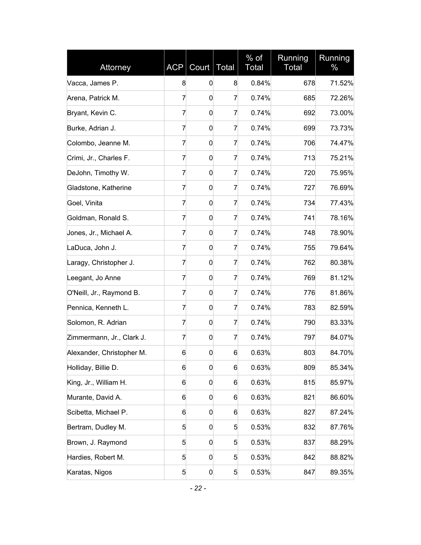| Attorney                  | <b>ACP</b>     | Court            | <b>Total</b> | $%$ of<br>Total | Running<br>Total | Running<br>% |
|---------------------------|----------------|------------------|--------------|-----------------|------------------|--------------|
| Vacca, James P.           | 8              | 0                | 8            | 0.84%           | 678              | 71.52%       |
| Arena, Patrick M.         | 7              | 0                | 7            | 0.74%           | 685              | 72.26%       |
| Bryant, Kevin C.          | 7              | 0                | 7            | 0.74%           | 692              | 73.00%       |
| Burke, Adrian J.          | 7              | 0                | 7            | 0.74%           | 699              | 73.73%       |
| Colombo, Jeanne M.        | 7              | 0                | 7            | 0.74%           | 706              | 74.47%       |
| Crimi, Jr., Charles F.    | 7              | 0                | 7            | 0.74%           | 713              | 75.21%       |
| DeJohn, Timothy W.        | 7              | 0                | 7            | 0.74%           | 720              | 75.95%       |
| Gladstone, Katherine      | 7              | 0                | 7            | 0.74%           | 727              | 76.69%       |
| Goel, Vinita              | 7              | 0                | 7            | 0.74%           | 734              | 77.43%       |
| Goldman, Ronald S.        | $\overline{7}$ | 0                | 7            | 0.74%           | 741              | 78.16%       |
| Jones, Jr., Michael A.    | 7              | 0                | 7            | 0.74%           | 748              | 78.90%       |
| LaDuca, John J.           | 7              | 0                | 7            | 0.74%           | 755              | 79.64%       |
| Laragy, Christopher J.    | 7              | 0                | 7            | 0.74%           | 762              | 80.38%       |
| Leegant, Jo Anne          | 7              | 0                | 7            | 0.74%           | 769              | 81.12%       |
| O'Neill, Jr., Raymond B.  | 7              | 0                | 7            | 0.74%           | 776              | 81.86%       |
| Pennica, Kenneth L.       | 7              | 0                | 7            | 0.74%           | 783              | 82.59%       |
| Solomon, R. Adrian        | 7              | 0                | 7            | 0.74%           | 790              | 83.33%       |
| Zimmermann, Jr., Clark J. | 7              | 0                | 7            | 0.74%           | 797              | 84.07%       |
| Alexander, Christopher M. | 6              | 0                | 6            | 0.63%           | 803              | 84.70%       |
| Holliday, Billie D.       | 6              | 0                | 6            | 0.63%           | 809              | 85.34%       |
| King, Jr., William H.     | 6              | 0                | 6            | 0.63%           | 815              | 85.97%       |
| Murante, David A.         | 6              | 0                | 6            | 0.63%           | 821              | 86.60%       |
| Scibetta, Michael P.      | 6              | 0                | 6            | 0.63%           | 827              | 87.24%       |
| Bertram, Dudley M.        | 5              | 0                | 5            | 0.53%           | 832              | 87.76%       |
| Brown, J. Raymond         | 5              | 0                | 5            | 0.53%           | 837              | 88.29%       |
| Hardies, Robert M.        | 5              | $\boldsymbol{0}$ | 5            | 0.53%           | 842              | 88.82%       |
| Karatas, Nigos            | 5              | 0                | 5            | 0.53%           | 847              | 89.35%       |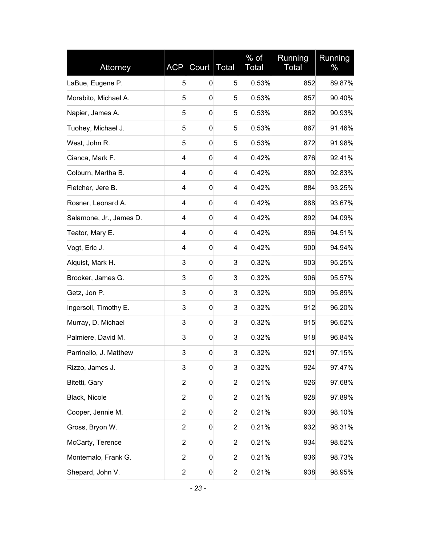| Attorney                | <b>ACP</b>     | Court       | <b>Total</b>   | $%$ of<br><b>Total</b> | Running<br>Total | Running<br>% |
|-------------------------|----------------|-------------|----------------|------------------------|------------------|--------------|
| LaBue, Eugene P.        | 5              | 0           | 5              | 0.53%                  | 852              | 89.87%       |
| Morabito, Michael A.    | 5              | 0           | 5              | 0.53%                  | 857              | 90.40%       |
| Napier, James A.        | 5              | 0           | 5              | 0.53%                  | 862              | 90.93%       |
| Tuohey, Michael J.      | 5              | 0           | 5              | 0.53%                  | 867              | 91.46%       |
| West, John R.           | 5              | 0           | 5              | 0.53%                  | 872              | 91.98%       |
| Cianca, Mark F.         | 4              | 0           | 4              | 0.42%                  | 876              | 92.41%       |
| Colburn, Martha B.      | 4              | 0           | 4              | 0.42%                  | 880              | 92.83%       |
| Fletcher, Jere B.       | 4              | 0           | 4              | 0.42%                  | 884              | 93.25%       |
| Rosner, Leonard A.      | 4              | 0           | 4              | 0.42%                  | 888              | 93.67%       |
| Salamone, Jr., James D. | 4              | 0           | 4              | 0.42%                  | 892              | 94.09%       |
| Teator, Mary E.         | 4              | 0           | 4              | 0.42%                  | 896              | 94.51%       |
| Vogt, Eric J.           | 4              | 0           | 4              | 0.42%                  | 900              | 94.94%       |
| Alquist, Mark H.        | 3              | 0           | 3              | 0.32%                  | 903              | 95.25%       |
| Brooker, James G.       | 3              | 0           | 3              | 0.32%                  | 906              | 95.57%       |
| Getz, Jon P.            | 3              | 0           | 3              | 0.32%                  | 909              | 95.89%       |
| Ingersoll, Timothy E.   | 3              | 0           | 3              | 0.32%                  | 912              | 96.20%       |
| Murray, D. Michael      | 3              | 0           | 3              | 0.32%                  | 915              | 96.52%       |
| Palmiere, David M.      | 3              | $\mathbf 0$ | 3              | 0.32%                  | 918              | 96.84%       |
| Parrinello, J. Matthew  | 3              | 0           | 3              | 0.32%                  | 921              | 97.15%       |
| Rizzo, James J.         | 3              | 0           | 3              | 0.32%                  | 924              | 97.47%       |
| Bitetti, Gary           | $\overline{a}$ | 0           | $\overline{2}$ | 0.21%                  | 926              | 97.68%       |
| Black, Nicole           | $\overline{c}$ | 0           | $\overline{2}$ | 0.21%                  | 928              | 97.89%       |
| Cooper, Jennie M.       | $\overline{a}$ | 0           | $\overline{2}$ | 0.21%                  | 930              | 98.10%       |
| Gross, Bryon W.         | $\overline{a}$ | 0           | $\overline{2}$ | 0.21%                  | 932              | 98.31%       |
| McCarty, Terence        | $\overline{a}$ | 0           | $\overline{2}$ | 0.21%                  | 934              | 98.52%       |
| Montemalo, Frank G.     | $\overline{2}$ | 0           | $\overline{c}$ | 0.21%                  | 936              | 98.73%       |
| Shepard, John V.        | $\overline{a}$ | 0           | $\overline{a}$ | 0.21%                  | 938              | 98.95%       |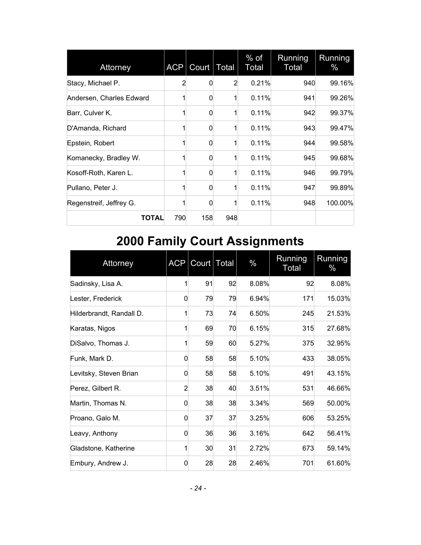| Attorney                 | <b>ACP</b>     | Count    | Total          | $%$ of<br>Total | Running<br>Total | Running<br>$\%$ |
|--------------------------|----------------|----------|----------------|-----------------|------------------|-----------------|
| Stacy, Michael P.        | $\overline{2}$ | 0        | $\overline{2}$ | 0.21%           | 940              | 99.16%          |
| Andersen, Charles Edward |                | $\Omega$ |                | 0.11%           | 941              | 99.26%          |
| Barr, Culver K.          |                | 0        |                | 0.11%           | 942              | 99.37%          |
| D'Amanda, Richard        |                | $\Omega$ |                | 0.11%           | 943              | 99.47%          |
| Epstein, Robert          | 1              | $\Omega$ |                | 0.11%           | 944              | 99.58%          |
| Komanecky, Bradley W.    | 1              | $\Omega$ | 1              | 0.11%           | 945              | 99.68%          |
| Kosoff-Roth, Karen L.    | 1              | 0        |                | 0.11%           | 946              | 99.79%          |
| Pullano, Peter J.        | 1              | $\Omega$ | $\mathbf{1}$   | 0.11%           | 947              | 99.89%          |
| Regenstreif, Jeffrey G.  |                | 0        |                | 0.11%           | 948              | 100.00%         |
| TOTAL                    | 790            | 158      | 948            |                 |                  |                 |

# <span id="page-24-0"></span>**2000 Family Court Assignments**

| Attorney                 | <b>ACP</b>     | Court   Total |    | $\%$  | Running<br><b>Total</b> | Running<br>$\%$ |
|--------------------------|----------------|---------------|----|-------|-------------------------|-----------------|
| Sadinsky, Lisa A.        |                | 91            | 92 | 8.08% | 92                      | 8.08%           |
| Lester, Frederick        | 0              | 79            | 79 | 6.94% | 171                     | 15.03%          |
| Hilderbrandt, Randall D. |                | 73            | 74 | 6.50% | 245                     | 21.53%          |
| Karatas, Nigos           | 1              | 69            | 70 | 6.15% | 315                     | 27.68%          |
| DiSalvo, Thomas J.       | 1              | 59            | 60 | 5.27% | 375                     | 32.95%          |
| Funk, Mark D.            | 0              | 58            | 58 | 5.10% | 433                     | 38.05%          |
| Levitsky, Steven Brian   | 0              | 58            | 58 | 5.10% | 491                     | 43.15%          |
| Perez, Gilbert R.        | $\overline{2}$ | 38            | 40 | 3.51% | 531                     | 46.66%          |
| Martin, Thomas N.        | 0              | 38            | 38 | 3.34% | 569                     | 50.00%          |
| Proano, Galo M.          | 0              | 37            | 37 | 3.25% | 606                     | 53.25%          |
| Leavy, Anthony           | 0              | 36            | 36 | 3.16% | 642                     | 56.41%          |
| Gladstone, Katherine     | 1              | 30            | 31 | 2.72% | 673                     | 59.14%          |
| Embury, Andrew J.        | 0              | 28            | 28 | 2.46% | 701                     | 61.60%          |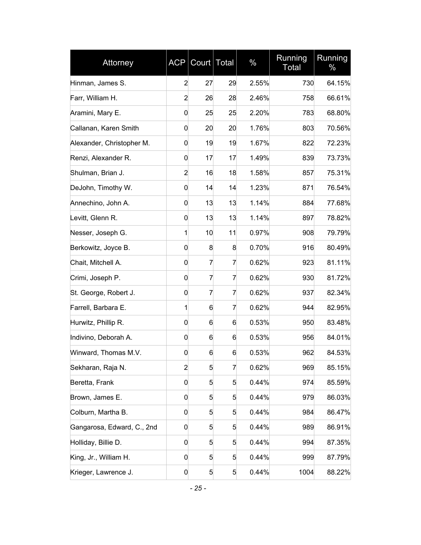| Attorney                   | <b>ACP</b>     | Court Total |                | $\%$  | Running<br><b>Total</b> | Running<br>$\%$ |
|----------------------------|----------------|-------------|----------------|-------|-------------------------|-----------------|
| Hinman, James S.           | $\overline{2}$ | 27          | 29             | 2.55% | 730                     | 64.15%          |
| Farr, William H.           | $\overline{2}$ | 26          | 28             | 2.46% | 758                     | 66.61%          |
| Aramini, Mary E.           | 0              | 25          | 25             | 2.20% | 783                     | 68.80%          |
| Callanan, Karen Smith      | 0              | 20          | 20             | 1.76% | 803                     | 70.56%          |
| Alexander, Christopher M.  | 0              | 19          | 19             | 1.67% | 822                     | 72.23%          |
| Renzi, Alexander R.        | 0              | 17          | 17             | 1.49% | 839                     | 73.73%          |
| Shulman, Brian J.          | $\overline{2}$ | 16          | 18             | 1.58% | 857                     | 75.31%          |
| DeJohn, Timothy W.         | 0              | 14          | 14             | 1.23% | 871                     | 76.54%          |
| Annechino, John A.         | 0              | 13          | 13             | 1.14% | 884                     | 77.68%          |
| Levitt, Glenn R.           | 0              | 13          | 13             | 1.14% | 897                     | 78.82%          |
| Nesser, Joseph G.          | 1              | 10          | 11             | 0.97% | 908                     | 79.79%          |
| Berkowitz, Joyce B.        | 0              | 8           | 8              | 0.70% | 916                     | 80.49%          |
| Chait, Mitchell A.         | 0              | 7           | 7              | 0.62% | 923                     | 81.11%          |
| Crimi, Joseph P.           | 0              | 7           | 7              | 0.62% | 930                     | 81.72%          |
| St. George, Robert J.      | 0              | 7           | 7              | 0.62% | 937                     | 82.34%          |
| Farrell, Barbara E.        | 1              | 6           | 7              | 0.62% | 944                     | 82.95%          |
| Hurwitz, Phillip R.        | 0              | 6           | 6              | 0.53% | 950                     | 83.48%          |
| Indivino, Deborah A.       | 0              | 6           | 6              | 0.53% | 956                     | 84.01%          |
| Winward, Thomas M.V.       | 0              | 6           | 6              | 0.53% | 962                     | 84.53%          |
| Sekharan, Raja N.          | $\overline{2}$ | 5           | $\overline{7}$ | 0.62% | 969                     | 85.15%          |
| Beretta, Frank             | 0              | 5           | 5              | 0.44% | 974                     | 85.59%          |
| Brown, James E.            | 0              | 5           | 5              | 0.44% | 979                     | 86.03%          |
| Colburn, Martha B.         | 0              | 5           | 5              | 0.44% | 984                     | 86.47%          |
| Gangarosa, Edward, C., 2nd | 0              | 5           | 5              | 0.44% | 989                     | 86.91%          |
| Holliday, Billie D.        | 0              | 5           | 5              | 0.44% | 994                     | 87.35%          |
| King, Jr., William H.      | 0              | 5           | 5              | 0.44% | 999                     | 87.79%          |
| Krieger, Lawrence J.       | 0              | 5           | 5              | 0.44% | 1004                    | 88.22%          |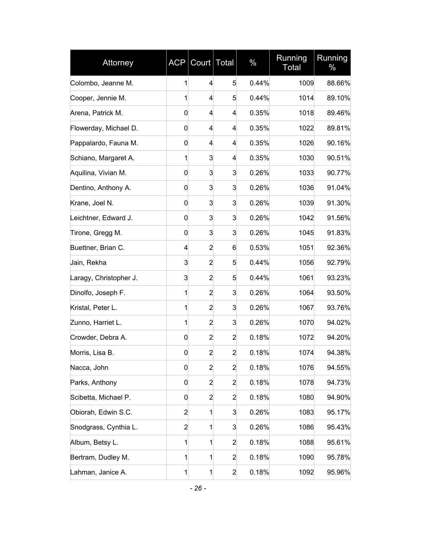| Attorney               | <b>ACP</b>     | Court Total    |                | $\%$  | Running<br><b>Total</b> | Running<br>$\%$ |
|------------------------|----------------|----------------|----------------|-------|-------------------------|-----------------|
| Colombo, Jeanne M.     | 1              | 4              | 5              | 0.44% | 1009                    | 88.66%          |
| Cooper, Jennie M.      | 1              | 4              | 5              | 0.44% | 1014                    | 89.10%          |
| Arena, Patrick M.      | 0              | 4              | 4              | 0.35% | 1018                    | 89.46%          |
| Flowerday, Michael D.  | 0              | 4              | 4              | 0.35% | 1022                    | 89.81%          |
| Pappalardo, Fauna M.   | 0              | 4              | 4              | 0.35% | 1026                    | 90.16%          |
| Schiano, Margaret A.   | 1              | 3              | 4              | 0.35% | 1030                    | 90.51%          |
| Aquilina, Vivian M.    | 0              | 3              | 3              | 0.26% | 1033                    | 90.77%          |
| Dentino, Anthony A.    | 0              | 3              | 3              | 0.26% | 1036                    | 91.04%          |
| Krane, Joel N.         | 0              | 3              | 3              | 0.26% | 1039                    | 91.30%          |
| Leichtner, Edward J.   | 0              | 3              | 3              | 0.26% | 1042                    | 91.56%          |
| Tirone, Gregg M.       | 0              | 3              | 3              | 0.26% | 1045                    | 91.83%          |
| Buettner, Brian C.     | 4              | $\overline{2}$ | 6              | 0.53% | 1051                    | 92.36%          |
| Jain, Rekha            | 3              | $\overline{a}$ | 5              | 0.44% | 1056                    | 92.79%          |
| Laragy, Christopher J. | 3              | $\overline{a}$ | 5              | 0.44% | 1061                    | 93.23%          |
| Dinolfo, Joseph F.     | 1              | $\overline{c}$ | 3              | 0.26% | 1064                    | 93.50%          |
| Kristal, Peter L.      | 1              | $\overline{a}$ | 3              | 0.26% | 1067                    | 93.76%          |
| Zunno, Harriet L.      | 1              | $\overline{a}$ | 3              | 0.26% | 1070                    | 94.02%          |
| Crowder, Debra A.      | $\mathbf 0$    | $\overline{a}$ | $\overline{a}$ | 0.18% | 1072                    | 94.20%          |
| Morris, Lisa B.        | 0              | $\overline{c}$ | $\overline{2}$ | 0.18% | 1074                    | 94.38%          |
| Nacca, John            | $\mathbf 0$    | $\overline{2}$ | $\overline{2}$ | 0.18% | 1076                    | 94.55%          |
| Parks, Anthony         | 0              | $\overline{c}$ | $\overline{a}$ | 0.18% | 1078                    | 94.73%          |
| Scibetta, Michael P.   | 0              | $\overline{c}$ | $\overline{a}$ | 0.18% | 1080                    | 94.90%          |
| Obiorah, Edwin S.C.    | $\overline{a}$ | 1              | 3              | 0.26% | 1083                    | 95.17%          |
| Snodgrass, Cynthia L.  | $\overline{2}$ | 1              | 3              | 0.26% | 1086                    | 95.43%          |
| Album, Betsy L.        | 1              | 1              | $\overline{a}$ | 0.18% | 1088                    | 95.61%          |
| Bertram, Dudley M.     | 1              | 1              | $\overline{a}$ | 0.18% | 1090                    | 95.78%          |
| Lahman, Janice A.      | 1              | 1              | $\overline{a}$ | 0.18% | 1092                    | 95.96%          |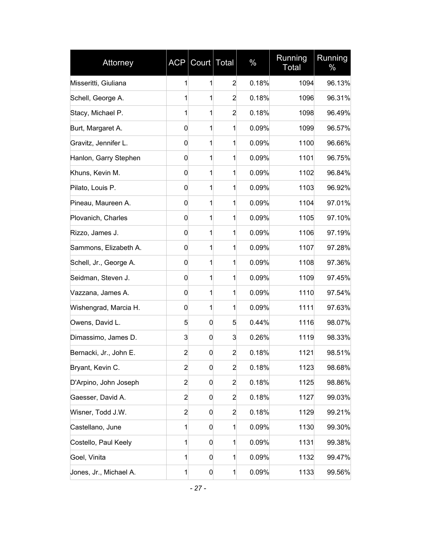| Attorney               | <b>ACP</b>     | Count | <b>Total</b>   | $\%$  | Running<br><b>Total</b> | Running<br>$\%$ |
|------------------------|----------------|-------|----------------|-------|-------------------------|-----------------|
| Misseritti, Giuliana   | 1              | 1     | $\overline{2}$ | 0.18% | 1094                    | 96.13%          |
| Schell, George A.      | 1              | 1     | $\overline{a}$ | 0.18% | 1096                    | 96.31%          |
| Stacy, Michael P.      | 1              | 1     | $\overline{2}$ | 0.18% | 1098                    | 96.49%          |
| Burt, Margaret A.      | 0              | 1     | 1              | 0.09% | 1099                    | 96.57%          |
| Gravitz, Jennifer L.   | 0              | 1     | 1              | 0.09% | 1100                    | 96.66%          |
| Hanlon, Garry Stephen  | 0              | 1     | 1              | 0.09% | 1101                    | 96.75%          |
| Khuns, Kevin M.        | 0              | 1     | 1              | 0.09% | 1102                    | 96.84%          |
| Pilato, Louis P.       | 0              | 1     | 1              | 0.09% | 1103                    | 96.92%          |
| Pineau, Maureen A.     | 0              | 1     | 1              | 0.09% | 1104                    | 97.01%          |
| Plovanich, Charles     | 0              | 1     | 1              | 0.09% | 1105                    | 97.10%          |
| Rizzo, James J.        | 0              | 1     | 1              | 0.09% | 1106                    | 97.19%          |
| Sammons, Elizabeth A.  | 0              | 1     | 1              | 0.09% | 1107                    | 97.28%          |
| Schell, Jr., George A. | 0              | 1     | 1              | 0.09% | 1108                    | 97.36%          |
| Seidman, Steven J.     | 0              | 1     | 1              | 0.09% | 1109                    | 97.45%          |
| Vazzana, James A.      | 0              | 1     | 1              | 0.09% | 1110                    | 97.54%          |
| Wishengrad, Marcia H.  | 0              | 1     | 1              | 0.09% | 1111                    | 97.63%          |
| Owens, David L.        | 5              | 0     | 5              | 0.44% | 1116                    | 98.07%          |
| Dimassimo, James D.    | 3              | 0     | 3              | 0.26% | 1119                    | 98.33%          |
| Bernacki, Jr., John E. | $\overline{c}$ | 0     | $\overline{a}$ | 0.18% | 1121                    | 98.51%          |
| Bryant, Kevin C.       | $\overline{a}$ | 0     | $\overline{2}$ | 0.18% | 1123                    | 98.68%          |
| D'Arpino, John Joseph  | $\overline{c}$ | 0     | $\overline{2}$ | 0.18% | 1125                    | 98.86%          |
| Gaesser, David A.      | $\overline{2}$ | 0     | $\overline{a}$ | 0.18% | 1127                    | 99.03%          |
| Wisner, Todd J.W.      | $\overline{2}$ | 0     | $\overline{2}$ | 0.18% | 1129                    | 99.21%          |
| Castellano, June       | 1              | 0     | 1              | 0.09% | 1130                    | 99.30%          |
| Costello, Paul Keely   | 1              | 0     | 1              | 0.09% | 1131                    | 99.38%          |
| Goel, Vinita           | 1              | 0     | 1              | 0.09% | 1132                    | 99.47%          |
| Jones, Jr., Michael A. | 1              | 0     | 1              | 0.09% | 1133                    | 99.56%          |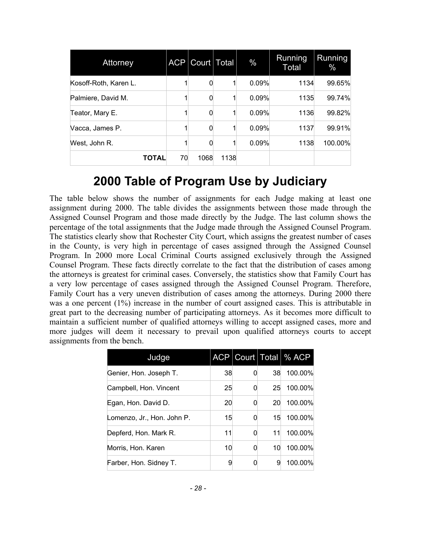| Attorney              | <b>ACP</b> | Court   Total |      | $\%$  | Running<br>Total | Running<br>$\%$ |
|-----------------------|------------|---------------|------|-------|------------------|-----------------|
| Kosoff-Roth, Karen L. |            |               |      | 0.09% | 1134             | 99.65%          |
| Palmiere, David M.    |            |               |      | 0.09% | 1135             | 99.74%          |
| Teator, Mary E.       |            |               |      | 0.09% | 1136             | 99.82%          |
| Vacca, James P.       |            |               |      | 0.09% | 1137             | 99.91%          |
| West, John R.         |            |               |      | 0.09% | 1138             | 100.00%         |
| <b>TOTAL</b>          | 70         | 1068          | 1138 |       |                  |                 |

### <span id="page-28-0"></span>**2000 Table of Program Use by Judiciary**

The table below shows the number of assignments for each Judge making at least one assignment during 2000. The table divides the assignments between those made through the Assigned Counsel Program and those made directly by the Judge. The last column shows the percentage of the total assignments that the Judge made through the Assigned Counsel Program. The statistics clearly show that Rochester City Court, which assigns the greatest number of cases in the County, is very high in percentage of cases assigned through the Assigned Counsel Program. In 2000 more Local Criminal Courts assigned exclusively through the Assigned Counsel Program. These facts directly correlate to the fact that the distribution of cases among the attorneys is greatest for criminal cases. Conversely, the statistics show that Family Court has a very low percentage of cases assigned through the Assigned Counsel Program. Therefore, Family Court has a very uneven distribution of cases among the attorneys. During 2000 there was a one percent (1%) increase in the number of court assigned cases. This is attributable in great part to the decreasing number of participating attorneys. As it becomes more difficult to maintain a sufficient number of qualified attorneys willing to accept assigned cases, more and more judges will deem it necessary to prevail upon qualified attorneys courts to accept assignments from the bench.

| Judge                      |    |   |    | ACP   Court   Total   % ACP |
|----------------------------|----|---|----|-----------------------------|
| Genier, Hon. Joseph T.     | 38 |   | 38 | 100.00%                     |
| Campbell, Hon. Vincent     | 25 | 0 | 25 | 100.00%                     |
| Egan, Hon. David D.        | 20 |   | 20 | 100.00%                     |
| Lomenzo, Jr., Hon. John P. | 15 |   | 15 | 100.00%                     |
| Depferd, Hon. Mark R.      | 11 |   | 11 | 100.00%                     |
| Morris, Hon. Karen         | 10 |   | 10 | 100.00%                     |
| Farber, Hon. Sidney T.     | 9  |   | 9  | 100.00%                     |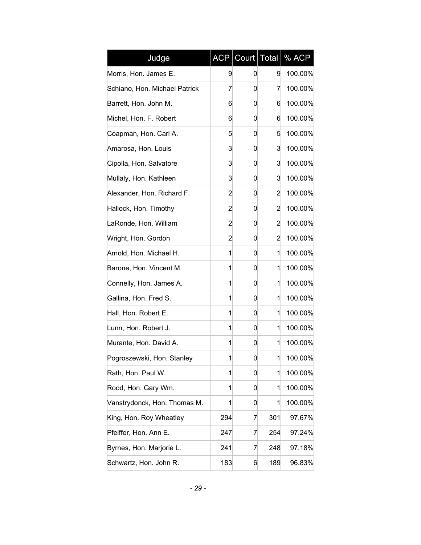| Judge                         | <b>ACP</b> | Court Total |     | % ACP   |
|-------------------------------|------------|-------------|-----|---------|
| Morris, Hon. James E.         | 9          | 0           | 9   | 100.00% |
| Schiano, Hon. Michael Patrick | 7          | 0           | 7   | 100.00% |
| Barrett, Hon. John M.         | 6          | 0           | 6   | 100.00% |
| Michel, Hon. F. Robert        | 6          | 0           | 6   | 100.00% |
| Coapman, Hon. Carl A.         | 5          | 0           | 5   | 100.00% |
| Amarosa, Hon. Louis           | 3          | 0           | 3   | 100.00% |
| Cipolla, Hon. Salvatore       | 3          | 0           | 3   | 100.00% |
| Mullaly, Hon. Kathleen        | 3          | 0           | 3   | 100.00% |
| Alexander, Hon. Richard F.    | 2          | 0           | 2   | 100.00% |
| Hallock, Hon. Timothy         | 2          | 0           | 2   | 100.00% |
| LaRonde, Hon. William         | 2          | 0           | 2   | 100.00% |
| Wright, Hon. Gordon           | 2          | 0           | 2   | 100.00% |
| Arnold, Hon. Michael H.       | 1          | 0           | 1   | 100.00% |
| Barone, Hon. Vincent M.       | 1          | 0           | 1   | 100.00% |
| Connelly, Hon. James A.       | 1          | 0           | 1   | 100.00% |
| Gallina, Hon. Fred S.         | 1          | 0           | 1   | 100.00% |
| Hall, Hon. Robert E.          | 1          | 0           | 1   | 100.00% |
| Lunn, Hon. Robert J.          | 1          | 0           | 1   | 100.00% |
| Murante, Hon. David A.        | 1          | 0           | 1   | 100.00% |
| Pogroszewski, Hon. Stanley    | 1          | 0           | 1   | 100.00% |
| Rath, Hon. Paul W.            | 1          | 0           | 1   | 100.00% |
| Rood, Hon. Gary Wm.           | 1          | 0           | 1   | 100.00% |
| Vanstrydonck, Hon. Thomas M.  | 1          | 0           | 1   | 100.00% |
| King, Hon. Roy Wheatley       | 294        | 7           | 301 | 97.67%  |
| Pfeiffer, Hon. Ann E.         | 247        | 7           | 254 | 97.24%  |
| Byrnes, Hon. Marjorie L.      | 241        | 7           | 248 | 97.18%  |
| Schwartz, Hon. John R.        | 183        | 6           | 189 | 96.83%  |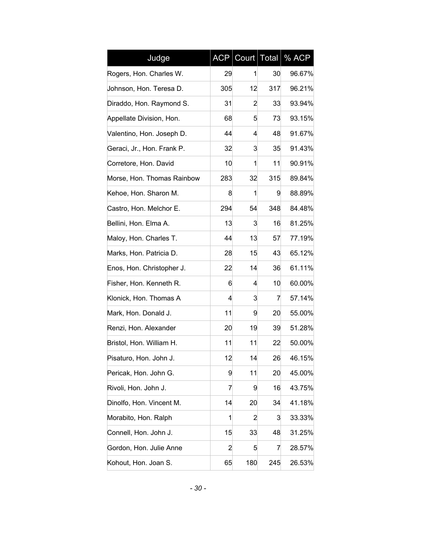| Judge                      | <b>ACP</b>     | Count | Total | % ACP  |
|----------------------------|----------------|-------|-------|--------|
| Rogers, Hon. Charles W.    | 29             | 1     | 30    | 96.67% |
| Johnson, Hon. Teresa D.    | 305            | 12    | 317   | 96.21% |
| Diraddo, Hon. Raymond S.   | 31             | 2     | 33    | 93.94% |
| Appellate Division, Hon.   | 68             | 5     | 73    | 93.15% |
| Valentino, Hon. Joseph D.  | 44             | 4     | 48    | 91.67% |
| Geraci, Jr., Hon. Frank P. | 32             | 3     | 35    | 91.43% |
| Corretore, Hon. David      | 10             | 1     | 11    | 90.91% |
| Morse, Hon. Thomas Rainbow | 283            | 32    | 315   | 89.84% |
| Kehoe, Hon. Sharon M.      | 8              | 1     | 9     | 88.89% |
| Castro, Hon. Melchor E.    | 294            | 54    | 348   | 84.48% |
| Bellini, Hon. Elma A.      | 13             | 3     | 16    | 81.25% |
| Maloy, Hon. Charles T.     | 44             | 13    | 57    | 77.19% |
| Marks, Hon. Patricia D.    | 28             | 15    | 43    | 65.12% |
| Enos, Hon. Christopher J.  | 22             | 14    | 36    | 61.11% |
| Fisher, Hon. Kenneth R.    | 6              | 4     | 10    | 60.00% |
| Klonick, Hon. Thomas A     | 4              | 3     | 7     | 57.14% |
| Mark, Hon. Donald J.       | 11             | 9     | 20    | 55.00% |
| Renzi, Hon. Alexander      | 20             | 19    | 39    | 51.28% |
| Bristol, Hon. William H.   | 11             | 11    | 22    | 50.00% |
| Pisaturo, Hon. John J.     | 12             | 14    | 26    | 46.15% |
| Pericak, Hon. John G.      | 9              | 11    | 20    | 45.00% |
| Rivoli, Hon. John J.       | 7              | 9     | 16    | 43.75% |
| Dinolfo, Hon. Vincent M.   | 14             | 20    | 34    | 41.18% |
| Morabito, Hon. Ralph       | 1              | 2     | 3     | 33.33% |
| Connell, Hon. John J.      | 15             | 33    | 48    | 31.25% |
| Gordon, Hon. Julie Anne    | $\overline{2}$ | 5     | 7     | 28.57% |
| Kohout, Hon. Joan S.       | 65             | 180   | 245   | 26.53% |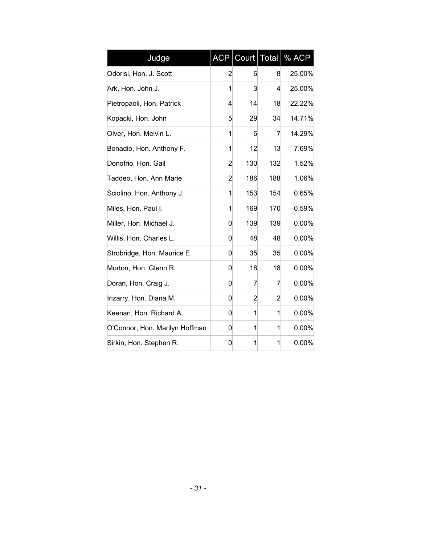| Judge                          | <b>ACP</b>     | Court   Total  |     | % ACP    |
|--------------------------------|----------------|----------------|-----|----------|
| Odorisi, Hon. J. Scott         | 2              | 6              | 8   | 25.00%   |
| Ark, Hon. John J.              | 1              | 3              | 4   | 25.00%   |
| Pietropaoli, Hon. Patrick      | 4              | 14             | 18  | 22.22%   |
| Kopacki, Hon. John             | 5              | 29             | 34  | 14.71%   |
| Olver, Hon. Melvin L.          | 1              | 6              | 7   | 14.29%   |
| Bonadio, Hon. Anthony F.       | 1              | 12             | 13  | 7.69%    |
| Donofrio, Hon. Gail            | 2              | 130            | 132 | 1.52%    |
| Taddeo, Hon. Ann Marie         | $\overline{2}$ | 186            | 188 | 1.06%    |
| Sciolino, Hon. Anthony J.      | 1              | 153            | 154 | 0.65%    |
| Miles, Hon. Paul I.            | 1              | 169            | 170 | 0.59%    |
| Miller, Hon. Michael J.        | 0              | 139            | 139 | 0.00%    |
| Willis, Hon. Charles L.        | 0              | 48             | 48  | 0.00%    |
| Strobridge, Hon. Maurice E.    | 0              | 35             | 35  | $0.00\%$ |
| Morton, Hon. Glenn R.          | 0              | 18             | 18  | 0.00%    |
| Doran, Hon. Craig J.           | 0              | 7              | 7   | 0.00%    |
| Irizarry, Hon. Diana M.        | 0              | $\overline{2}$ | 2   | 0.00%    |
| Keenan, Hon. Richard A.        | 0              | 1              | 1   | 0.00%    |
| O'Connor, Hon. Marilyn Hoffman | 0              | 1              | 1   | 0.00%    |
| Sirkin, Hon. Stephen R.        | 0              | 1              | 1   | 0.00%    |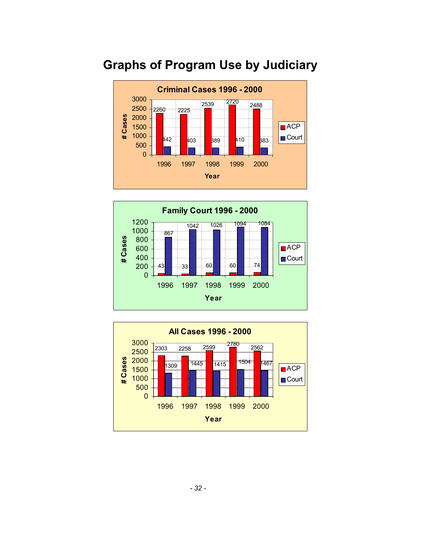

### <span id="page-32-0"></span>**Graphs of Program Use by Judiciary**



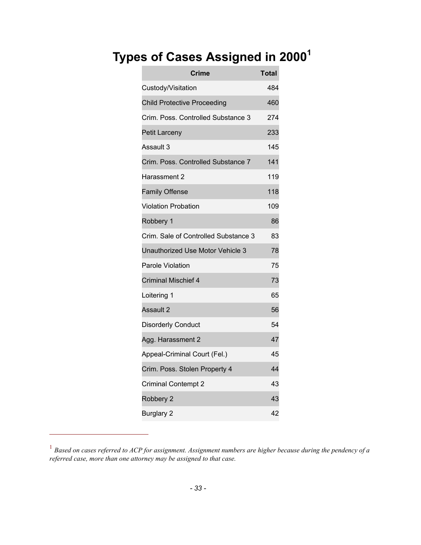### <span id="page-33-0"></span> **Types of Cases Assigned in 2000[1](#page-33-1)**

| <b>Crime</b>                         | <b>Total</b> |
|--------------------------------------|--------------|
| Custody/Visitation                   | 484          |
| <b>Child Protective Proceeding</b>   | 460          |
| Crim. Poss. Controlled Substance 3   | 274          |
| <b>Petit Larceny</b>                 | 233          |
| Assault 3                            | 145          |
| Crim. Poss. Controlled Substance 7   | 141          |
| Harassment 2                         | 119          |
| <b>Family Offense</b>                | 118          |
| <b>Violation Probation</b>           | 109          |
| Robbery 1                            | 86           |
| Crim. Sale of Controlled Substance 3 | 83           |
| Unauthorized Use Motor Vehicle 3     | 78           |
| <b>Parole Violation</b>              | 75           |
| <b>Criminal Mischief 4</b>           | 73           |
| Loitering 1                          | 65           |
| Assault 2                            | 56           |
| <b>Disorderly Conduct</b>            | 54           |
| Agg. Harassment 2                    | 47           |
| Appeal-Criminal Court (Fel.)         | 45           |
| Crim. Poss. Stolen Property 4        | 44           |
| <b>Criminal Contempt 2</b>           | 43           |
| Robbery 2                            | 43           |
| <b>Burglary 2</b>                    | 42           |

<span id="page-33-1"></span><sup>&</sup>lt;sup>1</sup> Based on cases referred to ACP for assignment. Assignment numbers are higher because during the pendency of a *referred case, more than one attorney may be assigned to that case.* 

 $\overline{a}$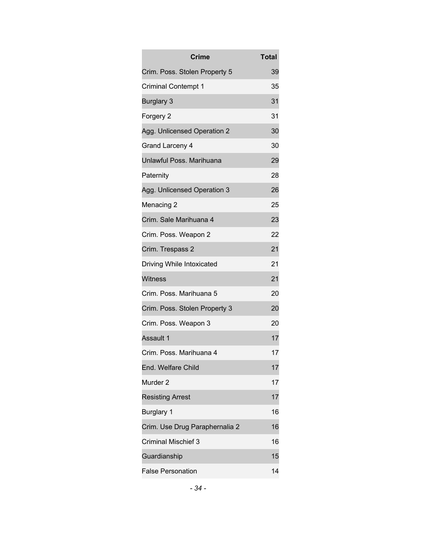| <b>Crime</b>                   | <b>Total</b> |
|--------------------------------|--------------|
| Crim. Poss. Stolen Property 5  | 39           |
| <b>Criminal Contempt 1</b>     | 35           |
| <b>Burglary 3</b>              | 31           |
| Forgery 2                      | 31           |
| Agg. Unlicensed Operation 2    | 30           |
| Grand Larceny 4                | 30           |
| Unlawful Poss. Marihuana       | 29           |
| Paternity                      | 28           |
| Agg. Unlicensed Operation 3    | 26           |
| Menacing 2                     | 25           |
| Crim. Sale Marihuana 4         | 23           |
| Crim. Poss. Weapon 2           | 22           |
| Crim. Trespass 2               | 21           |
| Driving While Intoxicated      | 21           |
| <b>Witness</b>                 | 21           |
| Crim. Poss. Marihuana 5        | 20           |
| Crim. Poss. Stolen Property 3  | 20           |
| Crim. Poss. Weapon 3           | 20           |
| Assault 1                      | 17           |
| Crim. Poss. Marihuana 4        | 17           |
| End. Welfare Child             | 17           |
| Murder <sub>2</sub>            | 17           |
| <b>Resisting Arrest</b>        | 17           |
| <b>Burglary 1</b>              | 16           |
| Crim. Use Drug Paraphernalia 2 | 16           |
| <b>Criminal Mischief 3</b>     | 16           |
| Guardianship                   | 15           |
| <b>False Personation</b>       | 14           |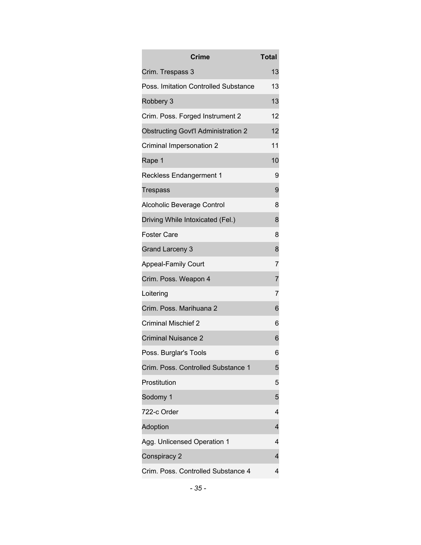| Crime                                      | <b>Total</b>   |
|--------------------------------------------|----------------|
| Crim. Trespass 3                           | 13             |
| Poss. Imitation Controlled Substance       | 13             |
| Robbery 3                                  | 13             |
| Crim. Poss. Forged Instrument 2            | 12             |
| <b>Obstructing Govt'l Administration 2</b> | 12             |
| Criminal Impersonation 2                   | 11             |
| Rape 1                                     | 10             |
| <b>Reckless Endangerment 1</b>             | 9              |
| Trespass                                   | 9              |
| Alcoholic Beverage Control                 | 8              |
| Driving While Intoxicated (Fel.)           | 8              |
| <b>Foster Care</b>                         | 8              |
| <b>Grand Larceny 3</b>                     | 8              |
| <b>Appeal-Family Court</b>                 | 7              |
| Crim. Poss. Weapon 4                       | $\overline{7}$ |
| Loitering                                  | 7              |
| Crim. Poss. Marihuana 2                    | 6              |
| <b>Criminal Mischief 2</b>                 | 6              |
| <b>Criminal Nuisance 2</b>                 | 6              |
| Poss. Burglar's Tools                      | 6              |
| Crim. Poss. Controlled Substance 1         | 5              |
| Prostitution                               | 5              |
| Sodomy 1                                   | 5              |
| 722-c Order                                | 4              |
| Adoption                                   | 4              |
| Agg. Unlicensed Operation 1                | 4              |
| Conspiracy 2                               | 4              |
| Crim. Poss. Controlled Substance 4         | 4              |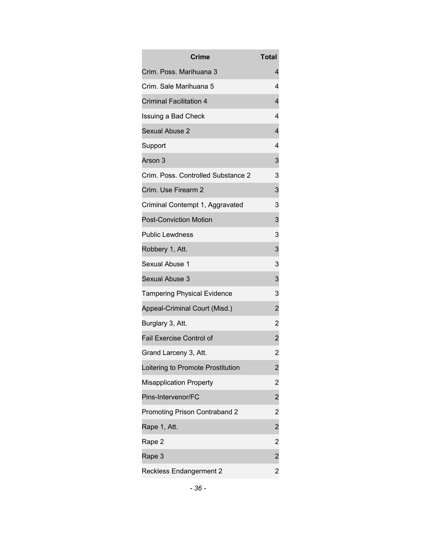| <b>Crime</b>                       | Total                   |
|------------------------------------|-------------------------|
| Crim. Poss. Marihuana 3            | 4                       |
| Crim. Sale Marihuana 5             | 4                       |
| <b>Criminal Facilitation 4</b>     | 4                       |
| <b>Issuing a Bad Check</b>         | 4                       |
| Sexual Abuse 2                     | 4                       |
| Support                            | 4                       |
| Arson 3                            | 3                       |
| Crim. Poss. Controlled Substance 2 | 3                       |
| Crim. Use Firearm 2                | 3                       |
| Criminal Contempt 1, Aggravated    | 3                       |
| <b>Post-Conviction Motion</b>      | 3                       |
| <b>Public Lewdness</b>             | 3                       |
| Robbery 1, Att.                    | 3                       |
| Sexual Abuse 1                     | 3                       |
| Sexual Abuse 3                     | 3                       |
| <b>Tampering Physical Evidence</b> | 3                       |
| Appeal-Criminal Court (Misd.)      | $\overline{\mathbf{c}}$ |
| Burglary 3, Att.                   | $\overline{c}$          |
| <b>Fail Exercise Control of</b>    | $\overline{\mathbf{c}}$ |
| Grand Larceny 3, Att.              | $\overline{2}$          |
| Loitering to Promote Prostitution  | $\overline{c}$          |
| <b>Misapplication Property</b>     | $\overline{c}$          |
| Pins-Intervenor/FC                 | $\overline{c}$          |
| Promoting Prison Contraband 2      | $\overline{c}$          |
| Rape 1, Att.                       | $\overline{\mathbf{c}}$ |
| Rape 2                             | $\overline{c}$          |
| Rape 3                             | $\overline{\mathbf{c}}$ |
| <b>Reckless Endangerment 2</b>     | $\overline{2}$          |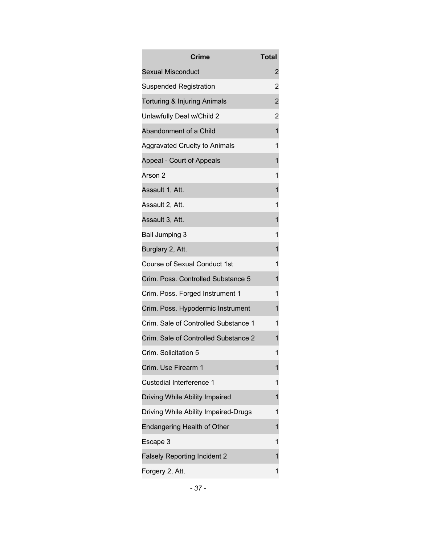| <b>Crime</b>                         | Total          |
|--------------------------------------|----------------|
| <b>Sexual Misconduct</b>             | 2              |
| <b>Suspended Registration</b>        | 2              |
| Torturing & Injuring Animals         | $\overline{c}$ |
| Unlawfully Deal w/Child 2            | $\overline{2}$ |
| Abandonment of a Child               | 1              |
| Aggravated Cruelty to Animals        | 1              |
| Appeal - Court of Appeals            | 1              |
| Arson 2                              | 1              |
| Assault 1, Att.                      | 1              |
| Assault 2, Att.                      | 1              |
| Assault 3, Att.                      | 1              |
| Bail Jumping 3                       | 1              |
| Burglary 2, Att.                     | 1              |
| <b>Course of Sexual Conduct 1st</b>  | 1              |
| Crim. Poss. Controlled Substance 5   | 1              |
| Crim. Poss. Forged Instrument 1      | 1              |
| Crim. Poss. Hypodermic Instrument    | 1              |
| Crim. Sale of Controlled Substance 1 | 1              |
| Crim. Sale of Controlled Substance 2 | 1              |
| Crim. Solicitation 5                 | 1              |
| Crim. Use Firearm 1                  | 1              |
| Custodial Interference 1             | 1              |
| Driving While Ability Impaired       | 1              |
| Driving While Ability Impaired-Drugs | 1              |
| Endangering Health of Other          | 1              |
| Escape 3                             | 1              |
| <b>Falsely Reporting Incident 2</b>  | 1              |
| Forgery 2, Att.                      | 1              |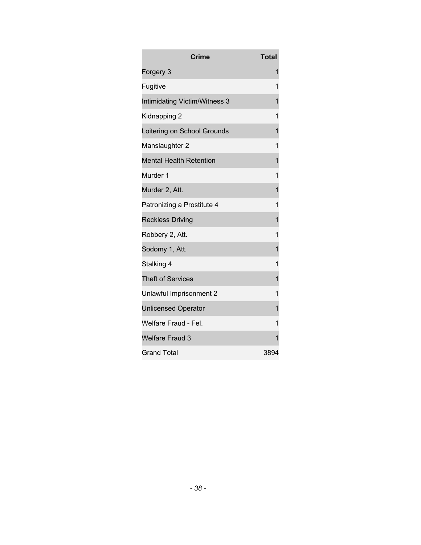| <b>Crime</b>                   | <b>Total</b> |
|--------------------------------|--------------|
| Forgery 3                      | 1            |
| Fugitive                       | 1            |
| Intimidating Victim/Witness 3  | 1            |
| Kidnapping 2                   | 1            |
| Loitering on School Grounds    | 1            |
| Manslaughter 2                 | 1            |
| <b>Mental Health Retention</b> | 1            |
| Murder 1                       | 1            |
| Murder 2, Att.                 | 1            |
| Patronizing a Prostitute 4     | 1            |
| <b>Reckless Driving</b>        | 1            |
| Robbery 2, Att.                | 1            |
| Sodomy 1, Att.                 | 1            |
| Stalking 4                     | 1            |
| <b>Theft of Services</b>       | 1            |
| Unlawful Imprisonment 2        | 1            |
| <b>Unlicensed Operator</b>     | 1            |
| Welfare Fraud - Fel.           | 1            |
| <b>Welfare Fraud 3</b>         | 1            |
| <b>Grand Total</b>             | 3894         |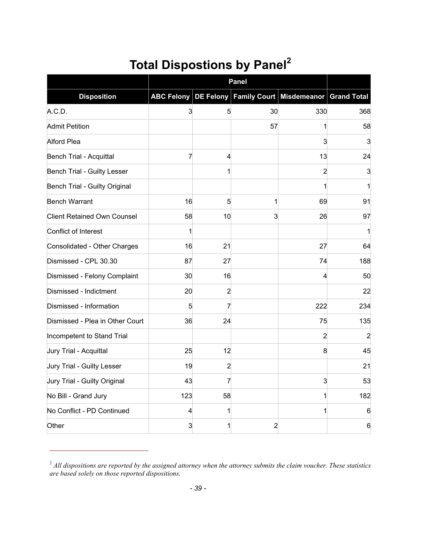## **Total Dispostions by Panel[2](#page-39-1)**

|                                    |     |                | <b>Panel</b>   |                                                           |                |
|------------------------------------|-----|----------------|----------------|-----------------------------------------------------------|----------------|
| <b>Disposition</b>                 |     |                |                | ABC Felony DE Felony Family Court Misdemeanor Grand Total |                |
| A.C.D.                             | 3   | 5              | 30             | 330                                                       | 368            |
| <b>Admit Petition</b>              |     |                | 57             |                                                           | 58             |
| <b>Alford Plea</b>                 |     |                |                | 3                                                         | 3              |
| <b>Bench Trial - Acquittal</b>     | 7   | 4              |                | 13                                                        | 24             |
| Bench Trial - Guilty Lesser        |     |                |                | 2                                                         | 3              |
| Bench Trial - Guilty Original      |     |                |                |                                                           |                |
| <b>Bench Warrant</b>               | 16  | 5              | 1              | 69                                                        | 91             |
| <b>Client Retained Own Counsel</b> | 58  | 10             | 3              | 26                                                        | 97             |
| Conflict of Interest               | 1   |                |                |                                                           |                |
| Consolidated - Other Charges       | 16  | 21             |                | 27                                                        | 64             |
| Dismissed - CPL 30.30              | 87  | 27             |                | 74                                                        | 188            |
| Dismissed - Felony Complaint       | 30  | 16             |                | 4                                                         | 50             |
| Dismissed - Indictment             | 20  | $\overline{a}$ |                |                                                           | 22             |
| Dismissed - Information            | 5   | 7              |                | 222                                                       | 234            |
| Dismissed - Plea in Other Court    | 36  | 24             |                | 75                                                        | 135            |
| Incompetent to Stand Trial         |     |                |                | $\overline{2}$                                            | $\overline{2}$ |
| Jury Trial - Acquittal             | 25  | 12             |                | 8                                                         | 45             |
| Jury Trial - Guilty Lesser         | 19  | $\overline{2}$ |                |                                                           | 21             |
| Jury Trial - Guilty Original       | 43  | 7              |                | 3                                                         | 53             |
| No Bill - Grand Jury               | 123 | 58             |                |                                                           | 182            |
| No Conflict - PD Continued         | 4   |                |                |                                                           | 6              |
| Other                              | 3   |                | $\overline{2}$ |                                                           | 6              |

<span id="page-39-1"></span>*<sup>2</sup> All dispositions are reported by the assigned attorney when the attorney submits the claim voucher. These statistics are based solely on those reported dispositions.* 

<span id="page-39-0"></span> $\overline{a}$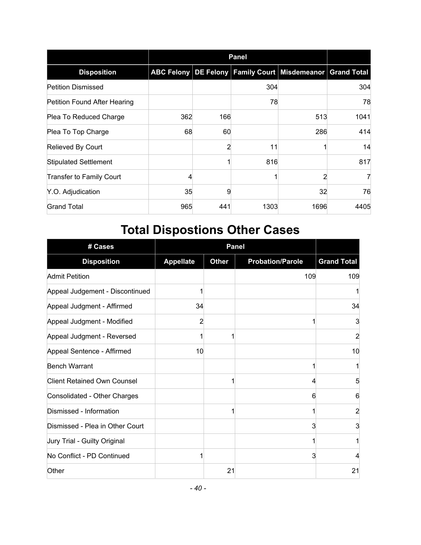|                                     |     | <b>Panel</b> |      |                                                           |      |  |  |
|-------------------------------------|-----|--------------|------|-----------------------------------------------------------|------|--|--|
| <b>Disposition</b>                  |     |              |      | ABC Felony DE Felony Family Court Misdemeanor Grand Total |      |  |  |
| <b>Petition Dismissed</b>           |     |              | 304  |                                                           | 304  |  |  |
| <b>Petition Found After Hearing</b> |     |              | 78   |                                                           | 78   |  |  |
| Plea To Reduced Charge              | 362 | 166          |      | 513                                                       | 1041 |  |  |
| Plea To Top Charge                  | 68  | 60           |      | 286                                                       | 414  |  |  |
| Relieved By Court                   |     |              | 11   |                                                           | 14   |  |  |
| <b>Stipulated Settlement</b>        |     |              | 816  |                                                           | 817  |  |  |
| <b>Transfer to Family Court</b>     | 4   |              |      | $\overline{2}$                                            | 7    |  |  |
| Y.O. Adjudication                   | 35  | 9            |      | 32                                                        | 76   |  |  |
| <b>Grand Total</b>                  | 965 | 441          | 1303 | 1696                                                      | 4405 |  |  |

# <span id="page-40-0"></span>**Total Dispostions Other Cases**

| # Cases                            |                  |              | <b>Panel</b>            |                    |
|------------------------------------|------------------|--------------|-------------------------|--------------------|
| <b>Disposition</b>                 | <b>Appellate</b> | <b>Other</b> | <b>Probation/Parole</b> | <b>Grand Total</b> |
| <b>Admit Petition</b>              |                  |              | 109                     | 109                |
| Appeal Judgement - Discontinued    |                  |              |                         |                    |
| Appeal Judgment - Affirmed         | 34               |              |                         | 34                 |
| Appeal Judgment - Modified         | 2                |              |                         | 3                  |
| Appeal Judgment - Reversed         |                  |              |                         | $\overline{2}$     |
| Appeal Sentence - Affirmed         | 10               |              |                         | 10                 |
| <b>Bench Warrant</b>               |                  |              |                         |                    |
| <b>Client Retained Own Counsel</b> |                  |              | 4                       | 5                  |
| Consolidated - Other Charges       |                  |              | 6                       | 6                  |
| Dismissed - Information            |                  | 1            |                         | 2                  |
| Dismissed - Plea in Other Court    |                  |              | 3                       | 3                  |
| Jury Trial - Guilty Original       |                  |              |                         |                    |
| No Conflict - PD Continued         |                  |              | 3                       | 4                  |
| Other                              |                  | 21           |                         | 21                 |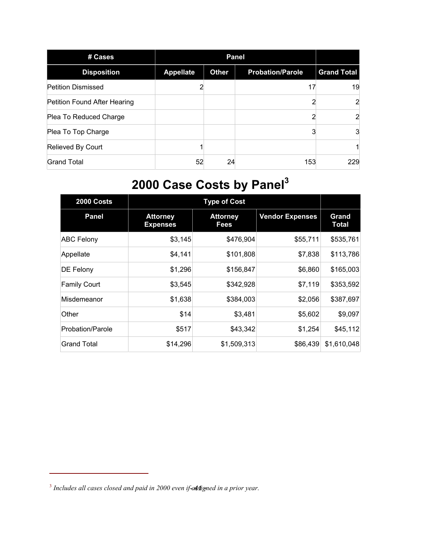| # Cases                      |                  |              |                         |                    |
|------------------------------|------------------|--------------|-------------------------|--------------------|
| <b>Disposition</b>           | <b>Appellate</b> | <b>Other</b> | <b>Probation/Parole</b> | <b>Grand Total</b> |
| <b>Petition Dismissed</b>    |                  |              | 17                      | 19                 |
| Petition Found After Hearing |                  |              |                         | $\overline{2}$     |
| Plea To Reduced Charge       |                  |              |                         | $\overline{2}$     |
| Plea To Top Charge           |                  |              |                         | 3                  |
| Relieved By Court            |                  |              |                         |                    |
| <b>Grand Total</b>           | 52               | 24           | 153                     | 229                |

# <span id="page-41-0"></span>**2000 Case Costs by Panel[3](#page-41-1)**

| 2000 Costs          |                                    | <b>Type of Cost</b>                               |          |                       |  |  |  |  |
|---------------------|------------------------------------|---------------------------------------------------|----------|-----------------------|--|--|--|--|
| <b>Panel</b>        | <b>Attorney</b><br><b>Expenses</b> | <b>Attorney</b><br><b>Vendor Expenses</b><br>Fees |          | Grand<br><b>Total</b> |  |  |  |  |
| <b>ABC Felony</b>   | \$3,145                            | \$476,904                                         | \$55,711 | \$535,761             |  |  |  |  |
| Appellate           | \$4,141                            | \$101,808                                         | \$7,838  | \$113,786             |  |  |  |  |
| DE Felony           | \$1,296                            | \$156,847                                         | \$6,860  | \$165,003             |  |  |  |  |
| <b>Family Court</b> | \$3,545                            | \$342,928                                         | \$7,119  | \$353,592             |  |  |  |  |
| Misdemeanor         | \$1,638                            | \$384,003                                         | \$2,056  | \$387,697             |  |  |  |  |
| Other               | \$14                               | \$3,481                                           | \$5,602  | \$9,097               |  |  |  |  |
| Probation/Parole    | \$517                              | \$43,342                                          | \$1,254  | \$45,112              |  |  |  |  |
| <b>Grand Total</b>  | \$14,296                           | \$1,509,313                                       | \$86,439 | \$1,610,048           |  |  |  |  |

 $\overline{a}$ 

<span id="page-41-1"></span><sup>&</sup>lt;sup>3</sup> Includes all cases closed and paid in 2000 even if-assigned in a prior year.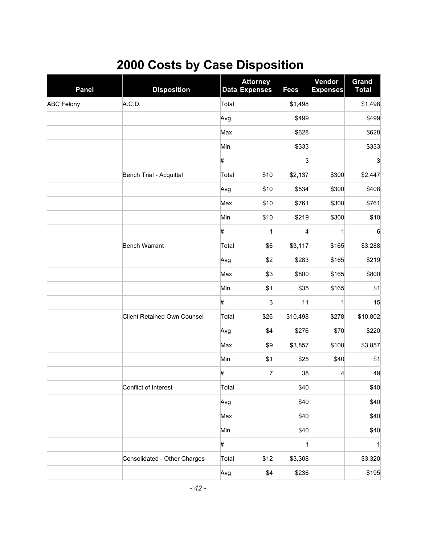## <span id="page-42-0"></span>**2000 Costs by Case Disposition**

| <b>Panel</b>      | <b>Disposition</b>                 |       | <b>Attorney</b><br><b>Data Expenses</b> | <b>Fees</b>  | Vendor<br><b>Expenses</b> | <b>Grand</b><br><b>Total</b> |
|-------------------|------------------------------------|-------|-----------------------------------------|--------------|---------------------------|------------------------------|
| <b>ABC Felony</b> | A.C.D.                             | Total |                                         | \$1,498      |                           | \$1,498                      |
|                   |                                    | Avg   |                                         | \$499        |                           | \$499                        |
|                   |                                    | Max   |                                         | \$628        |                           | \$628                        |
|                   |                                    | Min   |                                         | \$333        |                           | \$333                        |
|                   |                                    | #     |                                         | 3            |                           | 3                            |
|                   | Bench Trial - Acquittal            | Total | \$10                                    | \$2,137      | \$300                     | \$2,447                      |
|                   |                                    | Avg   | \$10                                    | \$534        | \$300                     | \$408                        |
|                   |                                    | Max   | \$10                                    | \$761        | \$300                     | \$761                        |
|                   |                                    | Min   | \$10                                    | \$219        | \$300                     | \$10                         |
|                   |                                    | #     | 1                                       | 4            | 1                         | $6\phantom{1}6$              |
|                   | <b>Bench Warrant</b>               | Total | \$6                                     | \$3,117      | \$165                     | \$3,288                      |
|                   |                                    | Avg   | \$2                                     | \$283        | \$165                     | \$219                        |
|                   |                                    | Max   | \$3                                     | \$800        | \$165                     | \$800                        |
|                   |                                    | Min   | \$1                                     | \$35         | \$165                     | \$1                          |
|                   |                                    | #     | 3                                       | 11           | 1                         | 15                           |
|                   | <b>Client Retained Own Counsel</b> | Total | \$26                                    | \$10,498     | \$278                     | \$10,802                     |
|                   |                                    | Avg   | \$4                                     | \$276        | \$70                      | \$220                        |
|                   |                                    | Max   | \$9                                     | \$3,857      | \$108                     | \$3,857                      |
|                   |                                    | Min   | \$1                                     | \$25         | \$40                      | \$1                          |
|                   |                                    | #     | $\overline{7}$                          | 38           | 4                         | 49                           |
|                   | Conflict of Interest               | Total |                                         | \$40         |                           | \$40                         |
|                   |                                    | Avg   |                                         | \$40         |                           | \$40                         |
|                   |                                    | Max   |                                         | \$40         |                           | \$40                         |
|                   |                                    | Min   |                                         | \$40         |                           | \$40                         |
|                   |                                    | #     |                                         | $\mathbf{1}$ |                           | $\mathbf{1}$                 |
|                   | Consolidated - Other Charges       | Total | \$12                                    | \$3,308      |                           | \$3,320                      |
|                   |                                    | Avg   | \$4                                     | \$236        |                           | \$195                        |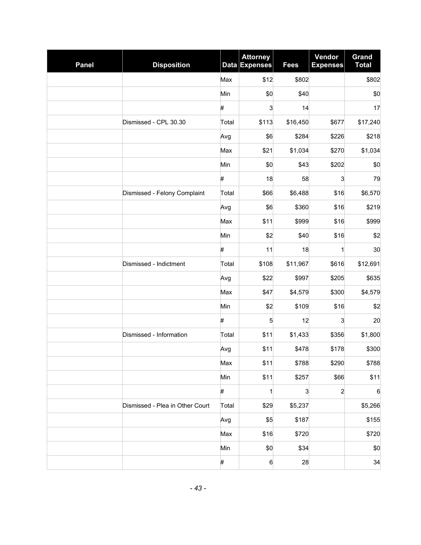| <b>Panel</b> | <b>Disposition</b>              |       | <b>Attorney</b><br>Data Expenses | <b>Fees</b> | Vendor<br><b>Expenses</b> | <b>Grand</b><br><b>Total</b> |
|--------------|---------------------------------|-------|----------------------------------|-------------|---------------------------|------------------------------|
|              |                                 | Max   | \$12                             | \$802       |                           | \$802                        |
|              |                                 | Min   | \$0                              | \$40        |                           | \$0                          |
|              |                                 | #     | 3                                | 14          |                           | 17                           |
|              | Dismissed - CPL 30.30           | Total | \$113                            | \$16,450    | \$677                     | \$17,240                     |
|              |                                 | Avg   | \$6                              | \$284       | \$226                     | \$218                        |
|              |                                 | Max   | \$21                             | \$1,034     | \$270                     | \$1,034                      |
|              |                                 | Min   | \$0                              | \$43        | \$202                     | \$0                          |
|              |                                 | #     | 18                               | 58          | 3                         | 79                           |
|              | Dismissed - Felony Complaint    | Total | \$66                             | \$6,488     | \$16                      | \$6,570                      |
|              |                                 | Avg   | \$6                              | \$360       | \$16                      | \$219                        |
|              |                                 | Max   | \$11                             | \$999       | \$16                      | \$999                        |
|              |                                 | Min   | \$2                              | \$40        | \$16                      | \$2                          |
|              |                                 | #     | 11                               | 18          | 1                         | 30                           |
|              | Dismissed - Indictment          | Total | \$108                            | \$11,967    | \$616                     | \$12,691                     |
|              |                                 | Avg   | \$22                             | \$997       | \$205                     | \$635                        |
|              |                                 | Max   | \$47                             | \$4,579     | \$300                     | \$4,579                      |
|              |                                 | Min   | \$2                              | \$109       | \$16                      | \$2                          |
|              |                                 | #     | 5                                | 12          | $\mathbf{3}$              | 20                           |
|              | Dismissed - Information         | Total | \$11                             | \$1,433     | \$356                     | \$1,800                      |
|              |                                 | Avg   | \$11                             | \$478       | \$178                     | \$300                        |
|              |                                 | Max   | \$11                             | \$788       | \$290                     | \$788                        |
|              |                                 | Min   | \$11                             | \$257       | \$66                      | \$11                         |
|              |                                 | #     | 1                                | 3           | $\overline{a}$            | $\,6$                        |
|              | Dismissed - Plea in Other Court | Total | \$29                             | \$5,237     |                           | \$5,266                      |
|              |                                 | Avg   | \$5                              | \$187       |                           | \$155                        |
|              |                                 | Max   | \$16                             | \$720       |                           | \$720                        |
|              |                                 | Min   | \$0                              | \$34        |                           | \$0                          |
|              |                                 | #     | 6                                | 28          |                           | 34                           |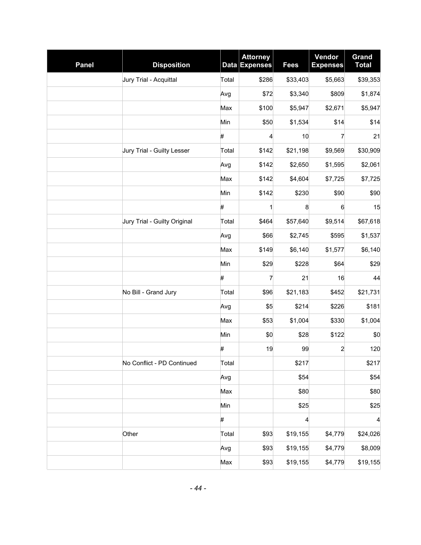| <b>Panel</b> | <b>Disposition</b>           |       | <b>Attorney</b><br><b>Data Expenses</b> | <b>Fees</b> | Vendor<br><b>Expenses</b> | Grand<br><b>Total</b>   |
|--------------|------------------------------|-------|-----------------------------------------|-------------|---------------------------|-------------------------|
|              | Jury Trial - Acquittal       | Total | \$286                                   | \$33,403    | \$5,663                   | \$39,353                |
|              |                              | Avg   | \$72                                    | \$3,340     | \$809                     | \$1,874                 |
|              |                              | Max   | \$100                                   | \$5,947     | \$2,671                   | \$5,947                 |
|              |                              | Min   | \$50                                    | \$1,534     | \$14                      | \$14                    |
|              |                              | #     | 4                                       | 10          | 7                         | 21                      |
|              | Jury Trial - Guilty Lesser   | Total | \$142                                   | \$21,198    | \$9,569                   | \$30,909                |
|              |                              | Avg   | \$142                                   | \$2,650     | \$1,595                   | \$2,061                 |
|              |                              | Max   | \$142                                   | \$4,604     | \$7,725                   | \$7,725                 |
|              |                              | Min   | \$142                                   | \$230       | \$90                      | \$90                    |
|              |                              | #     | $\mathbf{1}$                            | 8           | 6                         | 15                      |
|              | Jury Trial - Guilty Original | Total | \$464                                   | \$57,640    | \$9,514                   | \$67,618                |
|              |                              | Avg   | \$66                                    | \$2,745     | \$595                     | \$1,537                 |
|              |                              | Max   | \$149                                   | \$6,140     | \$1,577                   | \$6,140                 |
|              |                              | Min   | \$29                                    | \$228       | \$64                      | \$29                    |
|              |                              | #     | 7                                       | 21          | 16                        | 44                      |
|              | No Bill - Grand Jury         | Total | \$96                                    | \$21,183    | \$452                     | \$21,731                |
|              |                              | Avg   | \$5                                     | \$214       | \$226                     | \$181                   |
|              |                              | Max   | \$53                                    | \$1,004     | \$330                     | \$1,004                 |
|              |                              | Min   | \$0                                     | \$28        | \$122                     | \$0                     |
|              |                              | #     | 19                                      | 99          | $\overline{c}$            | 120                     |
|              | No Conflict - PD Continued   | Total |                                         | \$217       |                           | \$217                   |
|              |                              | Avg   |                                         | \$54        |                           | \$54                    |
|              |                              | Max   |                                         | \$80        |                           | \$80                    |
|              |                              | Min   |                                         | \$25        |                           | \$25                    |
|              |                              | #     |                                         | 4           |                           | $\overline{\mathbf{r}}$ |
|              | Other                        | Total | \$93                                    | \$19,155    | \$4,779                   | \$24,026                |
|              |                              | Avg   | \$93                                    | \$19,155    | \$4,779                   | \$8,009                 |
|              |                              | Max   | \$93                                    | \$19,155    | \$4,779                   | \$19,155                |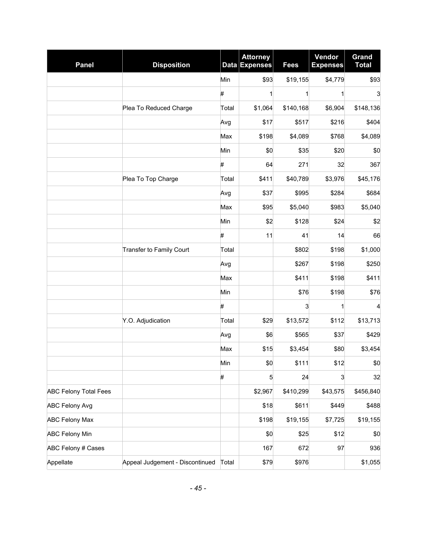| <b>Panel</b>                 | <b>Disposition</b>              |       | <b>Attorney</b><br>Data Expenses | <b>Fees</b>  | Vendor<br><b>Expenses</b> | <b>Grand</b><br><b>Total</b> |
|------------------------------|---------------------------------|-------|----------------------------------|--------------|---------------------------|------------------------------|
|                              |                                 | Min   | \$93                             | \$19,155     | \$4,779                   | \$93                         |
|                              |                                 | #     | 1                                | $\mathbf{1}$ | $\mathbf{1}$              | 3                            |
|                              | Plea To Reduced Charge          | Total | \$1,064                          | \$140,168    | \$6,904                   | \$148,136                    |
|                              |                                 | Avg   | \$17                             | \$517        | \$216                     | \$404                        |
|                              |                                 | Max   | \$198                            | \$4,089      | \$768                     | \$4,089                      |
|                              |                                 | Min   | \$0                              | \$35         | \$20                      | \$0                          |
|                              |                                 | #     | 64                               | 271          | 32                        | 367                          |
|                              | Plea To Top Charge              | Total | \$411                            | \$40,789     | \$3,976                   | \$45,176                     |
|                              |                                 | Avg   | \$37                             | \$995        | \$284                     | \$684                        |
|                              |                                 | Max   | \$95                             | \$5,040      | \$983                     | \$5,040                      |
|                              |                                 | Min   | \$2                              | \$128        | \$24                      | \$2                          |
|                              |                                 | #     | 11                               | 41           | 14                        | 66                           |
|                              | Transfer to Family Court        | Total |                                  | \$802        | \$198                     | \$1,000                      |
|                              |                                 | Avg   |                                  | \$267        | \$198                     | \$250                        |
|                              |                                 | Max   |                                  | \$411        | \$198                     | \$411                        |
|                              |                                 | Min   |                                  | \$76         | \$198                     | \$76                         |
|                              |                                 | #     |                                  | 3            | 1                         | 4                            |
|                              | Y.O. Adjudication               | Total | \$29                             | \$13,572     | \$112                     | \$13,713                     |
|                              |                                 | Avg   | \$6                              | \$565        | \$37                      | \$429                        |
|                              |                                 | Max   | \$15                             | \$3,454      | \$80                      | \$3,454                      |
|                              |                                 | Min   | \$0                              | \$111        | \$12                      | \$0                          |
|                              |                                 | #     | 5                                | 24           | 3                         | 32                           |
| <b>ABC Felony Total Fees</b> |                                 |       | \$2,967                          | \$410,299    | \$43,575                  | \$456,840                    |
| <b>ABC Felony Avg</b>        |                                 |       | \$18                             | \$611        | \$449                     | \$488                        |
| <b>ABC Felony Max</b>        |                                 |       | \$198                            | \$19,155     | \$7,725                   | \$19,155                     |
| <b>ABC Felony Min</b>        |                                 |       | \$0                              | \$25         | \$12                      | \$0                          |
| ABC Felony # Cases           |                                 |       | 167                              | 672          | 97                        | 936                          |
| Appellate                    | Appeal Judgement - Discontinued | Total | \$79                             | \$976        |                           | \$1,055                      |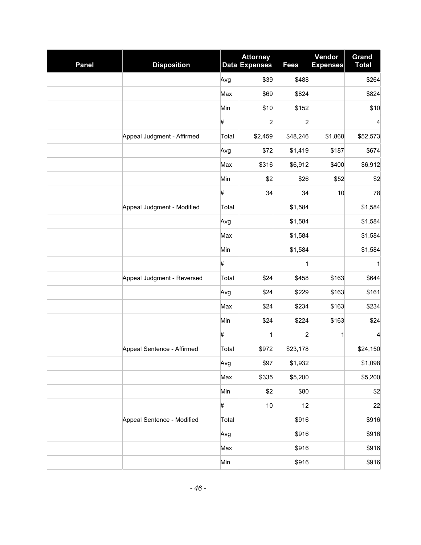| <b>Panel</b> | <b>Disposition</b>         |       | <b>Attorney</b><br>Data Expenses | <b>Fees</b>    | Vendor<br><b>Expenses</b> | <b>Grand</b><br><b>Total</b> |
|--------------|----------------------------|-------|----------------------------------|----------------|---------------------------|------------------------------|
|              |                            | Avg   | \$39                             | \$488          |                           | \$264                        |
|              |                            | Max   | \$69                             | \$824          |                           | \$824                        |
|              |                            | Min   | \$10                             | \$152          |                           | \$10                         |
|              |                            | #     | 2                                | $\overline{c}$ |                           | 4                            |
|              | Appeal Judgment - Affirmed | Total | \$2,459                          | \$48,246       | \$1,868                   | \$52,573                     |
|              |                            | Avg   | \$72                             | \$1,419        | \$187                     | \$674                        |
|              |                            | Max   | \$316                            | \$6,912        | \$400                     | \$6,912                      |
|              |                            | Min   | \$2                              | \$26           | \$52                      | \$2                          |
|              |                            | #     | 34                               | 34             | 10                        | 78                           |
|              | Appeal Judgment - Modified | Total |                                  | \$1,584        |                           | \$1,584                      |
|              |                            | Avg   |                                  | \$1,584        |                           | \$1,584                      |
|              |                            | Max   |                                  | \$1,584        |                           | \$1,584                      |
|              |                            | Min   |                                  | \$1,584        |                           | \$1,584                      |
|              |                            | #     |                                  | 1              |                           | 1                            |
|              | Appeal Judgment - Reversed | Total | \$24                             | \$458          | \$163                     | \$644                        |
|              |                            | Avg   | \$24                             | \$229          | \$163                     | \$161                        |
|              |                            | Max   | \$24                             | \$234          | \$163                     | \$234                        |
|              |                            | Min   | \$24                             | \$224          | \$163                     | \$24                         |
|              |                            | #     | 1                                | 2              | 1                         | 4                            |
|              | Appeal Sentence - Affirmed | Total | \$972                            | \$23,178       |                           | \$24,150                     |
|              |                            | Avg   | \$97                             | \$1,932        |                           | \$1,098                      |
|              |                            | Max   | \$335                            | \$5,200        |                           | \$5,200                      |
|              |                            | Min   | \$2                              | \$80           |                           | \$2                          |
|              |                            | #     | 10                               | 12             |                           | 22                           |
|              | Appeal Sentence - Modified | Total |                                  | \$916          |                           | \$916                        |
|              |                            | Avg   |                                  | \$916          |                           | \$916                        |
|              |                            | Max   |                                  | \$916          |                           | \$916                        |
|              |                            | Min   |                                  | \$916          |                           | \$916                        |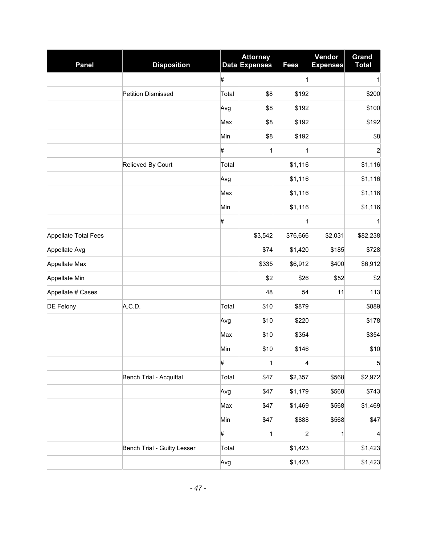| <b>Panel</b>         | <b>Disposition</b>          | Data  | <b>Attorney</b><br><b>Expenses</b> | <b>Fees</b> | Vendor<br><b>Expenses</b> | Grand<br><b>Total</b> |
|----------------------|-----------------------------|-------|------------------------------------|-------------|---------------------------|-----------------------|
|                      |                             | #     |                                    | 1           |                           | 1                     |
|                      | Petition Dismissed          | Total | \$8                                | \$192       |                           | \$200                 |
|                      |                             | Avg   | \$8                                | \$192       |                           | \$100                 |
|                      |                             | Max   | \$8                                | \$192       |                           | \$192                 |
|                      |                             | Min   | \$8                                | \$192       |                           | \$8                   |
|                      |                             | #     | 1                                  | 1           |                           | $\overline{c}$        |
|                      | Relieved By Court           | Total |                                    | \$1,116     |                           | \$1,116               |
|                      |                             | Avg   |                                    | \$1,116     |                           | \$1,116               |
|                      |                             | Max   |                                    | \$1,116     |                           | \$1,116               |
|                      |                             | Min   |                                    | \$1,116     |                           | \$1,116               |
|                      |                             | #     |                                    | 1           |                           | 1                     |
| Appellate Total Fees |                             |       | \$3,542                            | \$76,666    | \$2,031                   | \$82,238              |
| Appellate Avg        |                             |       | \$74                               | \$1,420     | \$185                     | \$728                 |
| Appellate Max        |                             |       | \$335                              | \$6,912     | \$400                     | \$6,912               |
| Appellate Min        |                             |       | \$2                                | \$26        | \$52                      | \$2                   |
| Appellate # Cases    |                             |       | 48                                 | 54          | 11                        | 113                   |
| DE Felony            | A.C.D.                      | Total | \$10                               | \$879       |                           | \$889                 |
|                      |                             | Avg   | \$10                               | \$220       |                           | \$178                 |
|                      |                             | Max   | \$10                               | \$354       |                           | \$354                 |
|                      |                             | Min   | \$10                               | \$146       |                           | \$10                  |
|                      |                             | #     | 1                                  | 4           |                           | 5                     |
|                      | Bench Trial - Acquittal     | Total | \$47                               | \$2,357     | \$568                     | \$2,972               |
|                      |                             | Avg   | \$47                               | \$1,179     | \$568                     | \$743                 |
|                      |                             | Max   | \$47                               | \$1,469     | \$568                     | \$1,469               |
|                      |                             | Min   | \$47                               | \$888       | \$568                     | \$47                  |
|                      |                             | #     | 1                                  | 2           | 1                         | 4                     |
|                      | Bench Trial - Guilty Lesser | Total |                                    | \$1,423     |                           | \$1,423               |
|                      |                             | Avg   |                                    | \$1,423     |                           | \$1,423               |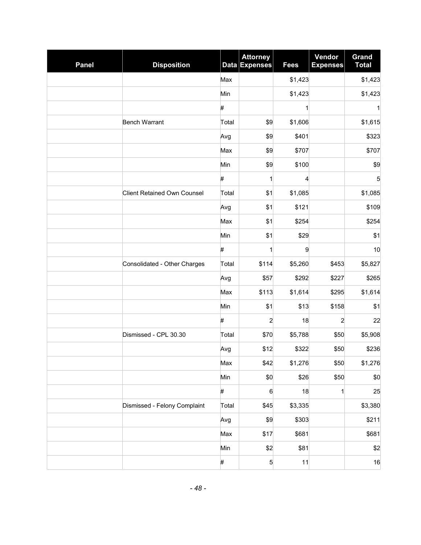| <b>Panel</b> | <b>Disposition</b>                 |       | <b>Attorney</b><br>Data Expenses | <b>Fees</b> | Vendor<br><b>Expenses</b> | <b>Grand</b><br><b>Total</b> |
|--------------|------------------------------------|-------|----------------------------------|-------------|---------------------------|------------------------------|
|              |                                    | Max   |                                  | \$1,423     |                           | \$1,423                      |
|              |                                    | Min   |                                  | \$1,423     |                           | \$1,423                      |
|              |                                    | #     |                                  | 1           |                           | 1                            |
|              | <b>Bench Warrant</b>               | Total | \$9                              | \$1,606     |                           | \$1,615                      |
|              |                                    | Avg   | \$9                              | \$401       |                           | \$323                        |
|              |                                    | Max   | \$9                              | \$707       |                           | \$707                        |
|              |                                    | Min   | \$9                              | \$100       |                           | \$9                          |
|              |                                    | #     | 1                                | 4           |                           | 5                            |
|              | <b>Client Retained Own Counsel</b> | Total | \$1                              | \$1,085     |                           | \$1,085                      |
|              |                                    | Avg   | \$1                              | \$121       |                           | \$109                        |
|              |                                    | Max   | \$1                              | \$254       |                           | \$254                        |
|              |                                    | Min   | \$1                              | \$29        |                           | \$1                          |
|              |                                    | #     | 1                                | 9           |                           | 10                           |
|              | Consolidated - Other Charges       | Total | \$114                            | \$5,260     | \$453                     | \$5,827                      |
|              |                                    | Avg   | \$57                             | \$292       | \$227                     | \$265                        |
|              |                                    | Max   | \$113                            | \$1,614     | \$295                     | \$1,614                      |
|              |                                    | Min   | \$1                              | \$13        | \$158                     | \$1                          |
|              |                                    | $\#$  | $\overline{a}$                   | 18          | $\overline{c}$            | 22                           |
|              | Dismissed - CPL 30.30              | Total | \$70                             | \$5,788     | \$50                      | \$5,908                      |
|              |                                    | Avg   | \$12                             | \$322       | \$50                      | \$236                        |
|              |                                    | Max   | \$42                             | \$1,276     | \$50                      | \$1,276                      |
|              |                                    | Min   | \$0                              | \$26        | \$50                      | \$0                          |
|              |                                    | $\#$  | 6                                | 18          | 1                         | 25                           |
|              | Dismissed - Felony Complaint       | Total | \$45                             | \$3,335     |                           | \$3,380                      |
|              |                                    | Avg   | \$9                              | \$303       |                           | \$211                        |
|              |                                    | Max   | \$17                             | \$681       |                           | \$681                        |
|              |                                    | Min   | \$2                              | \$81        |                           | \$2                          |
|              |                                    | #     | 5                                | 11          |                           | 16                           |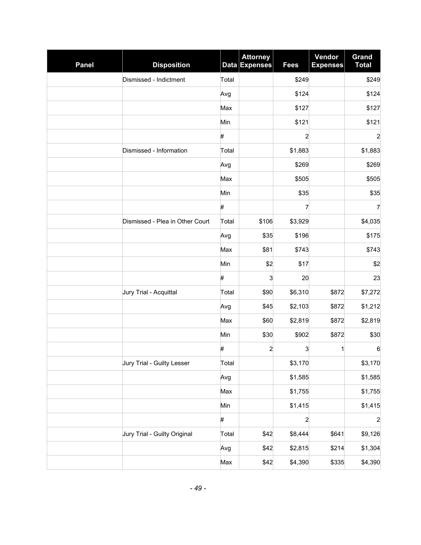| <b>Panel</b> | <b>Disposition</b>              |       | <b>Attorney</b><br>Data Expenses | <b>Fees</b>    | Vendor<br><b>Expenses</b> | <b>Grand</b><br><b>Total</b> |
|--------------|---------------------------------|-------|----------------------------------|----------------|---------------------------|------------------------------|
|              | Dismissed - Indictment          | Total |                                  | \$249          |                           | \$249                        |
|              |                                 | Avg   |                                  | \$124          |                           | \$124                        |
|              |                                 | Max   |                                  | \$127          |                           | \$127                        |
|              |                                 | Min   |                                  | \$121          |                           | \$121                        |
|              |                                 | #     |                                  | $\overline{c}$ |                           | $\overline{\mathbf{c}}$      |
|              | Dismissed - Information         | Total |                                  | \$1,883        |                           | \$1,883                      |
|              |                                 | Avg   |                                  | \$269          |                           | \$269                        |
|              |                                 | Max   |                                  | \$505          |                           | \$505                        |
|              |                                 | Min   |                                  | \$35           |                           | \$35                         |
|              |                                 | #     |                                  | 7              |                           | 7                            |
|              | Dismissed - Plea in Other Court | Total | \$106                            | \$3,929        |                           | \$4,035                      |
|              |                                 | Avg   | \$35                             | \$196          |                           | \$175                        |
|              |                                 | Max   | \$81                             | \$743          |                           | \$743                        |
|              |                                 | Min   | \$2                              | \$17           |                           | \$2                          |
|              |                                 | #     | 3                                | 20             |                           | 23                           |
|              | Jury Trial - Acquittal          | Total | \$90                             | \$6,310        | \$872                     | \$7,272                      |
|              |                                 | Avg   | \$45                             | \$2,103        | \$872                     | \$1,212                      |
|              |                                 | Max   | \$60                             | \$2,819        | \$872                     | \$2,819                      |
|              |                                 | Min   | \$30                             | \$902          | \$872                     | \$30                         |
|              |                                 | #     | 2                                | 3              | 1                         | $\,6$                        |
|              | Jury Trial - Guilty Lesser      | Total |                                  | \$3,170        |                           | \$3,170                      |
|              |                                 | Avg   |                                  | \$1,585        |                           | \$1,585                      |
|              |                                 | Max   |                                  | \$1,755        |                           | \$1,755                      |
|              |                                 | Min   |                                  | \$1,415        |                           | \$1,415                      |
|              |                                 | $\#$  |                                  | $\overline{a}$ |                           | $\overline{c}$               |
|              | Jury Trial - Guilty Original    | Total | \$42                             | \$8,444        | \$641                     | \$9,126                      |
|              |                                 | Avg   | \$42                             | \$2,815        | \$214                     | \$1,304                      |
|              |                                 | Max   | \$42                             | \$4,390        | \$335                     | \$4,390                      |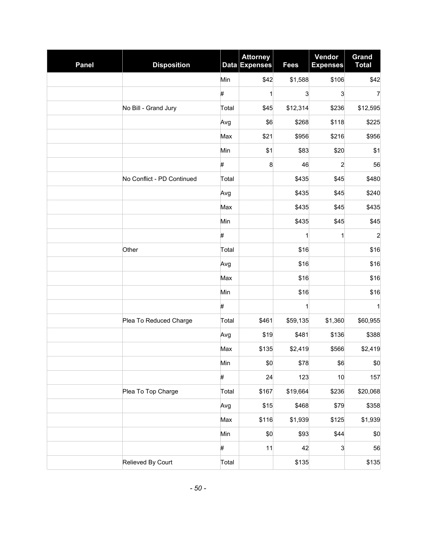| <b>Panel</b> | <b>Disposition</b>         |       | <b>Attorney</b><br><b>Data Expenses</b> | <b>Fees</b>  | Vendor<br><b>Expenses</b> | Grand<br><b>Total</b> |
|--------------|----------------------------|-------|-----------------------------------------|--------------|---------------------------|-----------------------|
|              |                            | Min   | \$42                                    | \$1,588      | \$106                     | \$42                  |
|              |                            | #     | $\mathbf{1}$                            | 3            | 3                         | $\overline{7}$        |
|              | No Bill - Grand Jury       | Total | \$45                                    | \$12,314     | \$236                     | \$12,595              |
|              |                            | Avg   | \$6                                     | \$268        | \$118                     | \$225                 |
|              |                            | Max   | \$21                                    | \$956        | \$216                     | \$956                 |
|              |                            | Min   | \$1                                     | \$83         | \$20                      | \$1                   |
|              |                            | #     | 8                                       | 46           | $\overline{c}$            | 56                    |
|              | No Conflict - PD Continued | Total |                                         | \$435        | \$45                      | \$480                 |
|              |                            | Avg   |                                         | \$435        | \$45                      | \$240                 |
|              |                            | Max   |                                         | \$435        | \$45                      | \$435                 |
|              |                            | Min   |                                         | \$435        | \$45                      | \$45                  |
|              |                            | #     |                                         | 1            | 1                         | $\overline{c}$        |
|              | Other                      | Total |                                         | \$16         |                           | \$16                  |
|              |                            | Avg   |                                         | \$16         |                           | \$16                  |
|              |                            | Max   |                                         | \$16         |                           | \$16                  |
|              |                            | Min   |                                         | \$16         |                           | \$16                  |
|              |                            | #     |                                         | $\mathbf{1}$ |                           | 1                     |
|              | Plea To Reduced Charge     | Total | \$461                                   | \$59,135     | \$1,360                   | \$60,955              |
|              |                            | Avg   | \$19                                    | \$481        | \$136                     | \$388                 |
|              |                            | Max   | \$135                                   | \$2,419      | \$566                     | \$2,419               |
|              |                            | Min   | \$0                                     | \$78         | \$6                       | \$0                   |
|              |                            | #     | 24                                      | 123          | 10                        | 157                   |
|              | Plea To Top Charge         | Total | \$167                                   | \$19,664     | \$236                     | \$20,068              |
|              |                            | Avg   | \$15                                    | \$468        | \$79                      | \$358                 |
|              |                            | Max   | \$116                                   | \$1,939      | \$125                     | \$1,939               |
|              |                            | Min   | \$0                                     | \$93         | \$44                      | \$0                   |
|              |                            | $\#$  | 11                                      | 42           | 3                         | 56                    |
|              | Relieved By Court          | Total |                                         | \$135        |                           | \$135                 |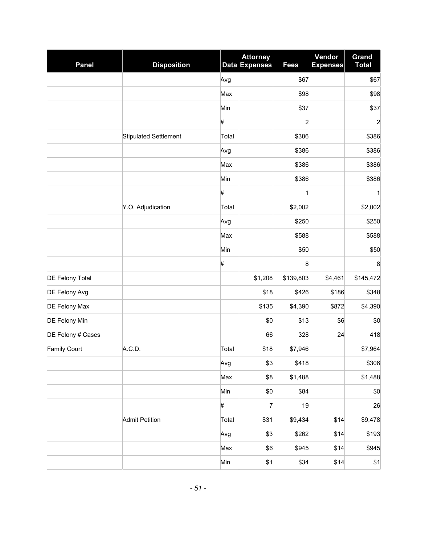| <b>Panel</b>           | <b>Disposition</b>           | <b>Data</b> | <b>Attorney</b><br><b>Expenses</b> | <b>Fees</b>    | Vendor<br><b>Expenses</b> | Grand<br><b>Total</b> |
|------------------------|------------------------------|-------------|------------------------------------|----------------|---------------------------|-----------------------|
|                        |                              | Avg         |                                    | \$67           |                           | \$67                  |
|                        |                              | Max         |                                    | \$98           |                           | \$98                  |
|                        |                              | Min         |                                    | \$37           |                           | \$37                  |
|                        |                              | #           |                                    | $\overline{c}$ |                           | $\overline{a}$        |
|                        | <b>Stipulated Settlement</b> | Total       |                                    | \$386          |                           | \$386                 |
|                        |                              | Avg         |                                    | \$386          |                           | \$386                 |
|                        |                              | Max         |                                    | \$386          |                           | \$386                 |
|                        |                              | Min         |                                    | \$386          |                           | \$386                 |
|                        |                              | #           |                                    | 1              |                           | 1                     |
|                        | Y.O. Adjudication            | Total       |                                    | \$2,002        |                           | \$2,002               |
|                        |                              | Avg         |                                    | \$250          |                           | \$250                 |
|                        |                              | Max         |                                    | \$588          |                           | \$588                 |
|                        |                              | Min         |                                    | \$50           |                           | \$50                  |
|                        |                              | #           |                                    | 8              |                           | 8                     |
| <b>DE Felony Total</b> |                              |             | \$1,208                            | \$139,803      | \$4,461                   | \$145,472             |
| DE Felony Avg          |                              |             | \$18                               | \$426          | \$186                     | \$348                 |
| DE Felony Max          |                              |             | \$135                              | \$4,390        | \$872                     | \$4,390               |
| DE Felony Min          |                              |             | \$0                                | \$13           | \$6                       | \$0                   |
| DE Felony # Cases      |                              |             | 66                                 | 328            | 24                        | 418                   |
| <b>Family Court</b>    | A.C.D.                       | Total       | \$18                               | \$7,946        |                           | \$7,964               |
|                        |                              | Avg         | \$3                                | \$418          |                           | \$306                 |
|                        |                              | Max         | \$8                                | \$1,488        |                           | \$1,488               |
|                        |                              | Min         | \$0                                | \$84           |                           | \$0                   |
|                        |                              | #           | 7                                  | 19             |                           | 26                    |
|                        | <b>Admit Petition</b>        | Total       | \$31                               | \$9,434        | \$14                      | \$9,478               |
|                        |                              | Avg         | \$3                                | \$262          | \$14                      | \$193                 |
|                        |                              | Max         | \$6                                | \$945          | \$14                      | \$945                 |
|                        |                              | Min         | \$1                                | \$34           | \$14                      | \$1                   |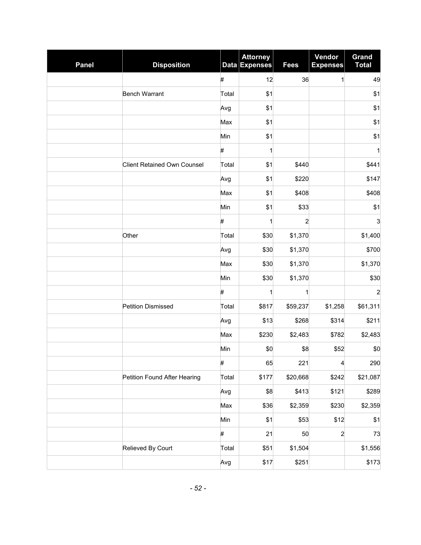| <b>Panel</b> | <b>Disposition</b>                 |       | <b>Attorney</b><br>Data Expenses | <b>Fees</b>    | Vendor<br><b>Expenses</b> | <b>Grand</b><br><b>Total</b> |
|--------------|------------------------------------|-------|----------------------------------|----------------|---------------------------|------------------------------|
|              |                                    | $\#$  | 12                               | 36             | 1                         | 49                           |
|              | <b>Bench Warrant</b>               | Total | \$1                              |                |                           | \$1                          |
|              |                                    | Avg   | \$1                              |                |                           | \$1                          |
|              |                                    | Max   | \$1                              |                |                           | \$1                          |
|              |                                    | Min   | \$1                              |                |                           | \$1                          |
|              |                                    | #     | 1                                |                |                           | 1                            |
|              | <b>Client Retained Own Counsel</b> | Total | \$1                              | \$440          |                           | \$441                        |
|              |                                    | Avg   | \$1                              | \$220          |                           | \$147                        |
|              |                                    | Max   | \$1                              | \$408          |                           | \$408                        |
|              |                                    | Min   | \$1                              | \$33           |                           | \$1                          |
|              |                                    | #     | 1                                | $\overline{c}$ |                           | 3                            |
|              | Other                              | Total | \$30                             | \$1,370        |                           | \$1,400                      |
|              |                                    | Avg   | \$30                             | \$1,370        |                           | \$700                        |
|              |                                    | Max   | \$30                             | \$1,370        |                           | \$1,370                      |
|              |                                    | Min   | \$30                             | \$1,370        |                           | \$30                         |
|              |                                    | #     | 1                                | 1              |                           | $\overline{c}$               |
|              | <b>Petition Dismissed</b>          | Total | \$817                            | \$59,237       | \$1,258                   | \$61,311                     |
|              |                                    | Avg   | \$13                             | \$268          | \$314                     | \$211                        |
|              |                                    | Max   | \$230                            | \$2,483        | \$782                     | \$2,483                      |
|              |                                    | Min   | \$0                              | \$8            | \$52                      | \$0                          |
|              |                                    | $\#$  | 65                               | 221            | 4                         | 290                          |
|              | Petition Found After Hearing       | Total | \$177                            | \$20,668       | \$242                     | \$21,087                     |
|              |                                    | Avg   | \$8                              | \$413          | \$121                     | \$289                        |
|              |                                    | Max   | \$36                             | \$2,359        | \$230                     | \$2,359                      |
|              |                                    | Min   | \$1                              | \$53           | \$12                      | \$1                          |
|              |                                    | #     | 21                               | 50             | $\overline{a}$            | 73                           |
|              | Relieved By Court                  | Total | \$51                             | \$1,504        |                           | \$1,556                      |
|              |                                    | Avg   | \$17                             | \$251          |                           | \$173                        |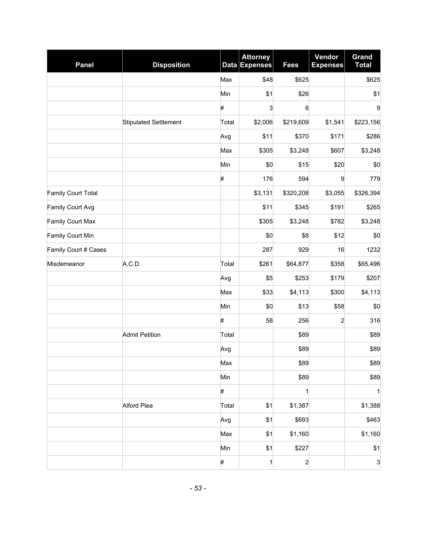| <b>Panel</b>         | <b>Disposition</b>           |       | <b>Attorney</b><br>Data Expenses | <b>Fees</b>    | Vendor<br><b>Expenses</b> | Grand<br><b>Total</b>     |
|----------------------|------------------------------|-------|----------------------------------|----------------|---------------------------|---------------------------|
|                      |                              | Max   | \$48                             | \$625          |                           | \$625                     |
|                      |                              | Min   | \$1                              | \$26           |                           | \$1                       |
|                      |                              | #     | 3                                | 6              |                           | 9                         |
|                      | <b>Stipulated Settlement</b> | Total | \$2,006                          | \$219,609      | \$1,541                   | \$223,156                 |
|                      |                              | Avg   | \$11                             | \$370          | \$171                     | \$286                     |
|                      |                              | Max   | \$305                            | \$3,248        | \$607                     | \$3,248                   |
|                      |                              | Min   | \$0                              | \$15           | \$20                      | \$0                       |
|                      |                              | #     | 176                              | 594            | 9                         | 779                       |
| Family Court Total   |                              |       | \$3,131                          | \$320,208      | \$3,055                   | \$326,394                 |
| Family Court Avg     |                              |       | \$11                             | \$345          | \$191                     | \$265                     |
| Family Court Max     |                              |       | \$305                            | \$3,248        | \$782                     | \$3,248                   |
| Family Court Min     |                              |       | \$0                              | \$8            | \$12                      | \$0                       |
| Family Court # Cases |                              |       | 287                              | 929            | 16                        | 1232                      |
| Misdemeanor          | A.C.D.                       | Total | \$261                            | \$64,877       | \$358                     | \$65,496                  |
|                      |                              | Avg   | \$5                              | \$253          | \$179                     | \$207                     |
|                      |                              | Max   | \$33                             | \$4,113        | \$300                     | \$4,113                   |
|                      |                              | Min   | \$0                              | \$13           | \$58                      | \$0                       |
|                      |                              | #     | 58                               | 256            | $\overline{a}$            | 316                       |
|                      | <b>Admit Petition</b>        | Total |                                  | \$89           |                           | \$89                      |
|                      |                              | Avg   |                                  | \$89           |                           | \$89                      |
|                      |                              | Max   |                                  | \$89           |                           | \$89                      |
|                      |                              | Min   |                                  | \$89           |                           | \$89                      |
|                      |                              | $\#$  |                                  | $\mathbf{1}$   |                           | $\mathbf{1}$              |
|                      | Alford Plea                  | Total | \$1                              | \$1,387        |                           | \$1,388                   |
|                      |                              | Avg   | \$1                              | \$693          |                           | \$463                     |
|                      |                              | Max   | \$1                              | \$1,160        |                           | \$1,160                   |
|                      |                              | Min   | \$1                              | \$227          |                           | \$1                       |
|                      |                              | #     | 1                                | $\overline{c}$ |                           | $\ensuremath{\mathsf{3}}$ |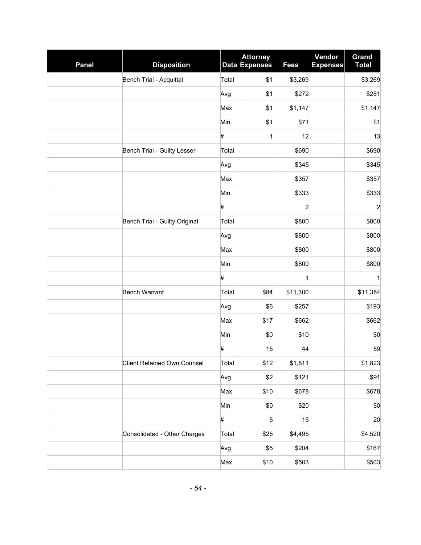| <b>Panel</b> | <b>Disposition</b>                 |       | <b>Attorney</b><br>Data Expenses | <b>Fees</b>             | Vendor<br><b>Expenses</b> | <b>Grand</b><br><b>Total</b> |
|--------------|------------------------------------|-------|----------------------------------|-------------------------|---------------------------|------------------------------|
|              | Bench Trial - Acquittal            | Total | \$1                              | \$3,269                 |                           | \$3,269                      |
|              |                                    | Avg   | \$1                              | \$272                   |                           | \$251                        |
|              |                                    | Max   | \$1                              | \$1,147                 |                           | \$1,147                      |
|              |                                    | Min   | \$1                              | \$71                    |                           | \$1                          |
|              |                                    | #     | 1                                | 12                      |                           | 13                           |
|              | Bench Trial - Guilty Lesser        | Total |                                  | \$690                   |                           | \$690                        |
|              |                                    | Avg   |                                  | \$345                   |                           | \$345                        |
|              |                                    | Max   |                                  | \$357                   |                           | \$357                        |
|              |                                    | Min   |                                  | \$333                   |                           | \$333                        |
|              |                                    | #     |                                  | $\overline{\mathbf{c}}$ |                           | $\overline{a}$               |
|              | Bench Trial - Guilty Original      | Total |                                  | \$800                   |                           | \$800                        |
|              |                                    | Avg   |                                  | \$800                   |                           | \$800                        |
|              |                                    | Max   |                                  | \$800                   |                           | \$800                        |
|              |                                    | Min   |                                  | \$800                   |                           | \$800                        |
|              |                                    | #     |                                  | $\mathbf{1}$            |                           | $\mathbf{1}$                 |
|              | <b>Bench Warrant</b>               | Total | \$84                             | \$11,300                |                           | \$11,384                     |
|              |                                    | Avg   | \$6                              | \$257                   |                           | \$193                        |
|              |                                    | Max   | \$17                             | \$662                   |                           | \$662                        |
|              |                                    | Min   | \$0                              | \$10                    |                           | \$0                          |
|              |                                    | #     | 15                               | 44                      |                           | 59                           |
|              | <b>Client Retained Own Counsel</b> | Total | \$12                             | \$1,811                 |                           | \$1,823                      |
|              |                                    | Avg   | \$2                              | \$121                   |                           | \$91                         |
|              |                                    | Max   | \$10                             | \$678                   |                           | \$678                        |
|              |                                    | Min   | \$0                              | \$20                    |                           | \$0                          |
|              |                                    | $\#$  | 5                                | 15                      |                           | 20                           |
|              | Consolidated - Other Charges       | Total | \$25                             | \$4,495                 |                           | \$4,520                      |
|              |                                    | Avg   | \$5                              | \$204                   |                           | \$167                        |
|              |                                    | Max   | \$10                             | \$503                   |                           | \$503                        |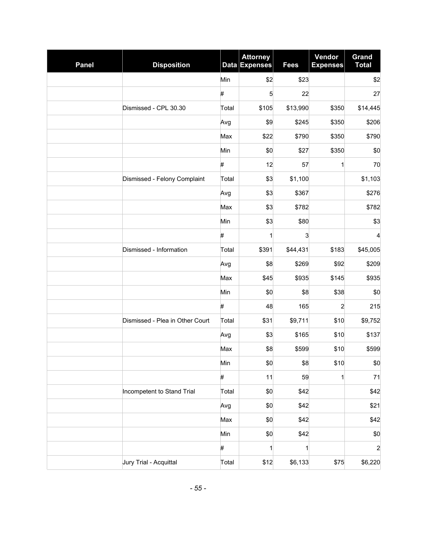| <b>Panel</b> | <b>Disposition</b>              |       | <b>Attorney</b><br>Data Expenses | <b>Fees</b>  | Vendor<br><b>Expenses</b> | <b>Grand</b><br><b>Total</b> |
|--------------|---------------------------------|-------|----------------------------------|--------------|---------------------------|------------------------------|
|              |                                 | Min   | \$2                              | \$23         |                           | \$2                          |
|              |                                 | #     | 5                                | 22           |                           | 27                           |
|              | Dismissed - CPL 30.30           | Total | \$105                            | \$13,990     | \$350                     | \$14,445                     |
|              |                                 | Avg   | \$9                              | \$245        | \$350                     | \$206                        |
|              |                                 | Max   | \$22                             | \$790        | \$350                     | \$790                        |
|              |                                 | Min   | \$0                              | \$27         | \$350                     | \$0                          |
|              |                                 | #     | 12                               | 57           | 1                         | 70                           |
|              | Dismissed - Felony Complaint    | Total | \$3                              | \$1,100      |                           | \$1,103                      |
|              |                                 | Avg   | \$3                              | \$367        |                           | \$276                        |
|              |                                 | Max   | \$3                              | \$782        |                           | \$782                        |
|              |                                 | Min   | \$3                              | \$80         |                           | \$3                          |
|              |                                 | #     | 1                                | 3            |                           | $\overline{4}$               |
|              | Dismissed - Information         | Total | \$391                            | \$44,431     | \$183                     | \$45,005                     |
|              |                                 | Avg   | \$8                              | \$269        | \$92                      | \$209                        |
|              |                                 | Max   | \$45                             | \$935        | \$145                     | \$935                        |
|              |                                 | Min   | \$0                              | \$8          | \$38                      | \$0                          |
|              |                                 | #     | 48                               | 165          | $\overline{c}$            | 215                          |
|              | Dismissed - Plea in Other Court | Total | \$31                             | \$9,711      | \$10                      | \$9,752                      |
|              |                                 | Avg   | \$3                              | \$165        | \$10                      | \$137                        |
|              |                                 | Max   | \$8                              | \$599        | \$10                      | \$599                        |
|              |                                 | Min   | \$0                              | \$8          | \$10                      | \$0                          |
|              |                                 | #     | 11                               | 59           | 1                         | 71                           |
|              | Incompetent to Stand Trial      | Total | \$0                              | \$42         |                           | \$42                         |
|              |                                 | Avg   | \$0                              | \$42         |                           | \$21                         |
|              |                                 | Max   | \$0                              | \$42         |                           | \$42                         |
|              |                                 | Min   | \$0                              | \$42         |                           | \$0                          |
|              |                                 | #     | 1                                | $\mathbf{1}$ |                           | $\overline{a}$               |
|              | Jury Trial - Acquittal          | Total | \$12                             | \$6,133      | \$75                      | \$6,220                      |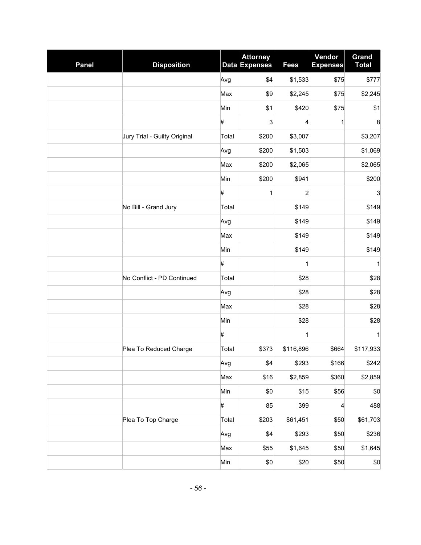| <b>Panel</b> | <b>Disposition</b>           |       | <b>Attorney</b><br>Data Expenses | <b>Fees</b>    | Vendor<br><b>Expenses</b> | <b>Grand</b><br><b>Total</b> |
|--------------|------------------------------|-------|----------------------------------|----------------|---------------------------|------------------------------|
|              |                              | Avg   | \$4                              | \$1,533        | \$75                      | \$777                        |
|              |                              | Max   | \$9                              | \$2,245        | \$75                      | \$2,245                      |
|              |                              | Min   | \$1                              | \$420          | \$75                      | \$1                          |
|              |                              | #     | 3                                | 4              | 1                         | 8                            |
|              | Jury Trial - Guilty Original | Total | \$200                            | \$3,007        |                           | \$3,207                      |
|              |                              | Avg   | \$200                            | \$1,503        |                           | \$1,069                      |
|              |                              | Max   | \$200                            | \$2,065        |                           | \$2,065                      |
|              |                              | Min   | \$200                            | \$941          |                           | \$200                        |
|              |                              | #     | 1                                | $\overline{c}$ |                           | 3                            |
|              | No Bill - Grand Jury         | Total |                                  | \$149          |                           | \$149                        |
|              |                              | Avg   |                                  | \$149          |                           | \$149                        |
|              |                              | Max   |                                  | \$149          |                           | \$149                        |
|              |                              | Min   |                                  | \$149          |                           | \$149                        |
|              |                              | #     |                                  | 1              |                           | 1                            |
|              | No Conflict - PD Continued   | Total |                                  | \$28           |                           | \$28                         |
|              |                              | Avg   |                                  | \$28           |                           | \$28                         |
|              |                              | Max   |                                  | \$28           |                           | \$28                         |
|              |                              | Min   |                                  | \$28           |                           | \$28                         |
|              |                              | #     |                                  | 1              |                           | 1                            |
|              | Plea To Reduced Charge       | Total | \$373                            | \$116,896      | \$664                     | \$117,933                    |
|              |                              | Avg   | \$4                              | \$293          | \$166                     | \$242                        |
|              |                              | Max   | \$16                             | \$2,859        | \$360                     | \$2,859                      |
|              |                              | Min   | \$0                              | \$15           | \$56                      | $\$0$                        |
|              |                              | #     | 85                               | 399            | 4                         | 488                          |
|              | Plea To Top Charge           | Total | \$203                            | \$61,451       | \$50                      | \$61,703                     |
|              |                              | Avg   | \$4                              | \$293          | \$50                      | \$236                        |
|              |                              | Max   | \$55                             | \$1,645        | \$50                      | \$1,645                      |
|              |                              | Min   | \$0                              | \$20           | \$50                      | \$0                          |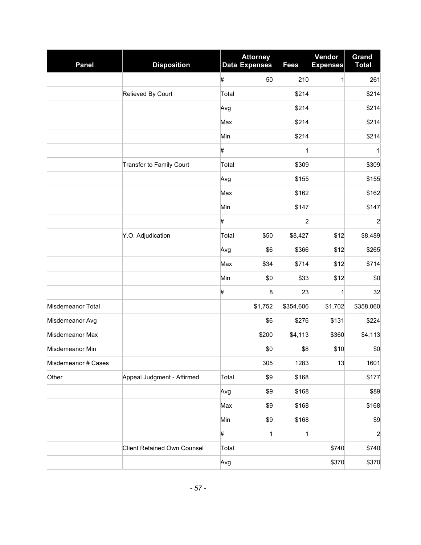| <b>Panel</b>        | <b>Disposition</b>                 |       | <b>Attorney</b><br>Data Expenses | <b>Fees</b>    | Vendor<br><b>Expenses</b> | <b>Grand</b><br><b>Total</b> |
|---------------------|------------------------------------|-------|----------------------------------|----------------|---------------------------|------------------------------|
|                     |                                    | #     | 50                               | 210            | 1                         | 261                          |
|                     | Relieved By Court                  | Total |                                  | \$214          |                           | \$214                        |
|                     |                                    | Avg   |                                  | \$214          |                           | \$214                        |
|                     |                                    | Max   |                                  | \$214          |                           | \$214                        |
|                     |                                    | Min   |                                  | \$214          |                           | \$214                        |
|                     |                                    | #     |                                  | 1              |                           | 1                            |
|                     | Transfer to Family Court           | Total |                                  | \$309          |                           | \$309                        |
|                     |                                    | Avg   |                                  | \$155          |                           | \$155                        |
|                     |                                    | Max   |                                  | \$162          |                           | \$162                        |
|                     |                                    | Min   |                                  | \$147          |                           | \$147                        |
|                     |                                    | $\#$  |                                  | $\overline{c}$ |                           | $\overline{a}$               |
|                     | Y.O. Adjudication                  | Total | \$50                             | \$8,427        | \$12                      | \$8,489                      |
|                     |                                    | Avg   | \$6                              | \$366          | \$12                      | \$265                        |
|                     |                                    | Max   | \$34                             | \$714          | \$12                      | \$714                        |
|                     |                                    | Min   | \$0                              | \$33           | \$12                      | \$0                          |
|                     |                                    | #     | 8                                | 23             | 1                         | 32                           |
| Misdemeanor Total   |                                    |       | \$1,752                          | \$354,606      | \$1,702                   | \$358,060                    |
| Misdemeanor Avg     |                                    |       | \$6                              | \$276          | \$131                     | \$224                        |
| Misdemeanor Max     |                                    |       | \$200                            | \$4,113        | \$360                     | \$4,113                      |
| Misdemeanor Min     |                                    |       | \$0                              | \$8            | \$10                      | \$0                          |
| Misdemeanor # Cases |                                    |       | 305                              | 1283           | 13                        | 1601                         |
| Other               | Appeal Judgment - Affirmed         | Total | \$9                              | \$168          |                           | \$177                        |
|                     |                                    | Avg   | \$9                              | \$168          |                           | \$89                         |
|                     |                                    | Max   | \$9                              | \$168          |                           | \$168                        |
|                     |                                    | Min   | \$9                              | \$168          |                           | \$9                          |
|                     |                                    | #     | 1                                | 1              |                           | $\overline{c}$               |
|                     | <b>Client Retained Own Counsel</b> | Total |                                  |                | \$740                     | \$740                        |
|                     |                                    | Avg   |                                  |                | \$370                     | \$370                        |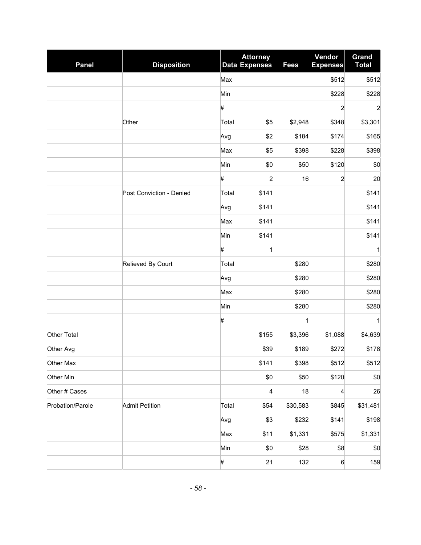| <b>Panel</b>     | <b>Disposition</b>       |       | <b>Attorney</b><br>Data Expenses | <b>Fees</b>  | Vendor<br><b>Expenses</b> | Grand<br><b>Total</b> |
|------------------|--------------------------|-------|----------------------------------|--------------|---------------------------|-----------------------|
|                  |                          | Max   |                                  |              | \$512                     | \$512                 |
|                  |                          | Min   |                                  |              | \$228                     | \$228                 |
|                  |                          | #     |                                  |              | 2                         | $\overline{c}$        |
|                  | Other                    | Total | \$5                              | \$2,948      | \$348                     | \$3,301               |
|                  |                          | Avg   | \$2                              | \$184        | \$174                     | \$165                 |
|                  |                          | Max   | \$5                              | \$398        | \$228                     | \$398                 |
|                  |                          | Min   | \$0                              | \$50         | \$120                     | \$0                   |
|                  |                          | #     | 2                                | 16           | 2                         | 20                    |
|                  | Post Conviction - Denied | Total | \$141                            |              |                           | \$141                 |
|                  |                          | Avg   | \$141                            |              |                           | \$141                 |
|                  |                          | Max   | \$141                            |              |                           | \$141                 |
|                  |                          | Min   | \$141                            |              |                           | \$141                 |
|                  |                          | #     | $\mathbf{1}$                     |              |                           | 1                     |
|                  | Relieved By Court        | Total |                                  | \$280        |                           | \$280                 |
|                  |                          | Avg   |                                  | \$280        |                           | \$280                 |
|                  |                          | Max   |                                  | \$280        |                           | \$280                 |
|                  |                          | Min   |                                  | \$280        |                           | \$280                 |
|                  |                          | $\#$  |                                  | $\mathbf{1}$ |                           | 1                     |
| Other Total      |                          |       | \$155                            | \$3,396      | \$1,088                   | \$4,639               |
| Other Avg        |                          |       | \$39                             | \$189        | \$272                     | \$178                 |
| Other Max        |                          |       | \$141                            | \$398        | \$512                     | \$512                 |
| Other Min        |                          |       | \$0                              | \$50         | \$120                     | \$0                   |
| Other # Cases    |                          |       | 4                                | 18           | 4                         | 26                    |
| Probation/Parole | <b>Admit Petition</b>    | Total | \$54                             | \$30,583     | \$845                     | \$31,481              |
|                  |                          | Avg   | \$3                              | \$232        | \$141                     | \$198                 |
|                  |                          | Max   | \$11                             | \$1,331      | \$575                     | \$1,331               |
|                  |                          | Min   | \$0                              | \$28         | \$8                       | \$0                   |
|                  |                          | #     | 21                               | 132          | $\,6$                     | 159                   |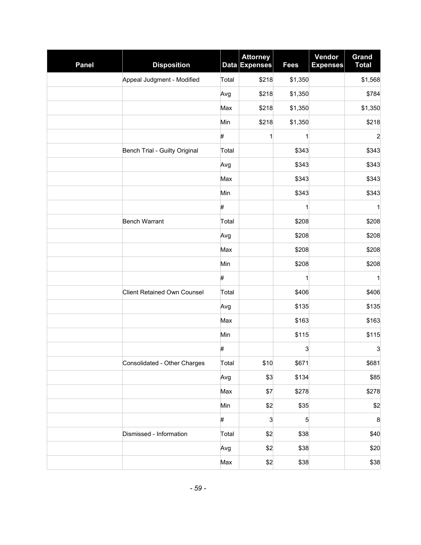| <b>Panel</b> | <b>Disposition</b>                 |       | <b>Attorney</b><br><b>Data Expenses</b> | <b>Fees</b> | Vendor<br><b>Expenses</b> | <b>Grand</b><br><b>Total</b> |
|--------------|------------------------------------|-------|-----------------------------------------|-------------|---------------------------|------------------------------|
|              | Appeal Judgment - Modified         | Total | \$218                                   | \$1,350     |                           | \$1,568                      |
|              |                                    | Avg   | \$218                                   | \$1,350     |                           | \$784                        |
|              |                                    | Max   | \$218                                   | \$1,350     |                           | \$1,350                      |
|              |                                    | Min   | \$218                                   | \$1,350     |                           | \$218                        |
|              |                                    | #     | 1                                       | 1           |                           | $\overline{\mathbf{c}}$      |
|              | Bench Trial - Guilty Original      | Total |                                         | \$343       |                           | \$343                        |
|              |                                    | Avg   |                                         | \$343       |                           | \$343                        |
|              |                                    | Max   |                                         | \$343       |                           | \$343                        |
|              |                                    | Min   |                                         | \$343       |                           | \$343                        |
|              |                                    | #     |                                         | 1           |                           | 1                            |
|              | <b>Bench Warrant</b>               | Total |                                         | \$208       |                           | \$208                        |
|              |                                    | Avg   |                                         | \$208       |                           | \$208                        |
|              |                                    | Max   |                                         | \$208       |                           | \$208                        |
|              |                                    | Min   |                                         | \$208       |                           | \$208                        |
|              |                                    | $\#$  |                                         | 1           |                           | 1                            |
|              | <b>Client Retained Own Counsel</b> | Total |                                         | \$406       |                           | \$406                        |
|              |                                    | Avg   |                                         | \$135       |                           | \$135                        |
|              |                                    | Max   |                                         | \$163       |                           | \$163                        |
|              |                                    | Min   |                                         | \$115       |                           | \$115                        |
|              |                                    | #     |                                         | 3           |                           | 3                            |
|              | Consolidated - Other Charges       | Total | \$10                                    | \$671       |                           | \$681                        |
|              |                                    | Avg   | \$3                                     | \$134       |                           | \$85                         |
|              |                                    | Max   | \$7                                     | \$278       |                           | \$278                        |
|              |                                    | Min   | \$2                                     | \$35        |                           | \$2                          |
|              |                                    | #     | 3                                       | 5           |                           | 8                            |
|              | Dismissed - Information            | Total | \$2                                     | \$38        |                           | \$40                         |
|              |                                    | Avg   | \$2                                     | \$38        |                           | \$20                         |
|              |                                    | Max   | \$2                                     | \$38        |                           | \$38                         |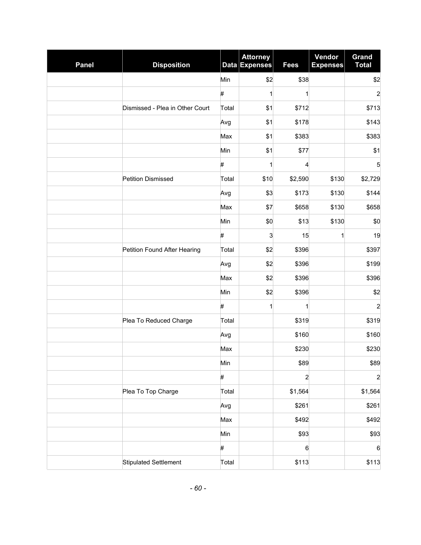| <b>Panel</b> | <b>Disposition</b>              |       | <b>Attorney</b><br>Data Expenses | <b>Fees</b>    | Vendor<br><b>Expenses</b> | Grand<br><b>Total</b>   |
|--------------|---------------------------------|-------|----------------------------------|----------------|---------------------------|-------------------------|
|              |                                 | Min   | \$2                              | \$38           |                           | \$2                     |
|              |                                 | #     | 1                                | $\mathbf{1}$   |                           | $\overline{\mathbf{c}}$ |
|              | Dismissed - Plea in Other Court | Total | \$1                              | \$712          |                           | \$713                   |
|              |                                 | Avg   | \$1                              | \$178          |                           | \$143                   |
|              |                                 | Max   | \$1                              | \$383          |                           | \$383                   |
|              |                                 | Min   | \$1                              | \$77           |                           | \$1                     |
|              |                                 | #     | 1                                | 4              |                           | 5                       |
|              | <b>Petition Dismissed</b>       | Total | \$10                             | \$2,590        | \$130                     | \$2,729                 |
|              |                                 | Avg   | \$3                              | \$173          | \$130                     | \$144                   |
|              |                                 | Max   | \$7                              | \$658          | \$130                     | \$658                   |
|              |                                 | Min   | \$0                              | \$13           | \$130                     | \$0                     |
|              |                                 | #     | 3                                | 15             | 1                         | 19                      |
|              | Petition Found After Hearing    | Total | \$2                              | \$396          |                           | \$397                   |
|              |                                 | Avg   | \$2                              | \$396          |                           | \$199                   |
|              |                                 | Max   | \$2                              | \$396          |                           | \$396                   |
|              |                                 | Min   | \$2                              | \$396          |                           | \$2                     |
|              |                                 | #     | $\mathbf{1}$                     | 1              |                           | $\overline{\mathbf{c}}$ |
|              | Plea To Reduced Charge          | Total |                                  | \$319          |                           | \$319                   |
|              |                                 | Avg   |                                  | \$160          |                           | \$160                   |
|              |                                 | Max   |                                  | \$230          |                           | \$230                   |
|              |                                 | Min   |                                  | \$89           |                           | \$89                    |
|              |                                 | #     |                                  | $\overline{c}$ |                           | $\overline{a}$          |
|              | Plea To Top Charge              | Total |                                  | \$1,564        |                           | \$1,564                 |
|              |                                 | Avg   |                                  | \$261          |                           | \$261                   |
|              |                                 | Max   |                                  | \$492          |                           | \$492                   |
|              |                                 | Min   |                                  | \$93           |                           | \$93                    |
|              |                                 | #     |                                  | 6              |                           | $\,6$                   |
|              | <b>Stipulated Settlement</b>    | Total |                                  | \$113          |                           | \$113                   |